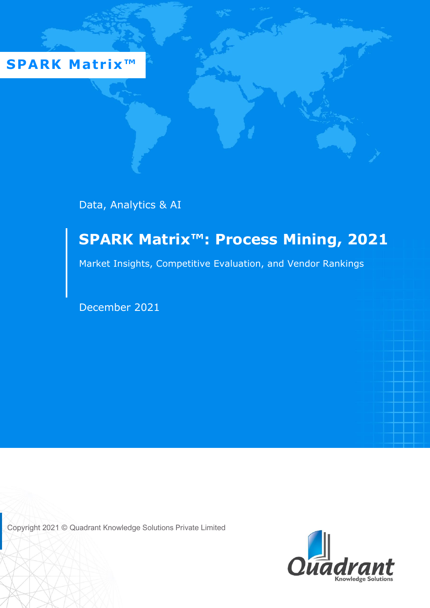**SPARK Matrix™** 

Data, Analytics & AI

# **SPARK Matrix™: Process Mining, 2021**

Market Insights, Competitive Evaluation, and Vendor Rankings

December 2021

Copyright 2021 © Quadrant Knowledge Solutions Private Limited

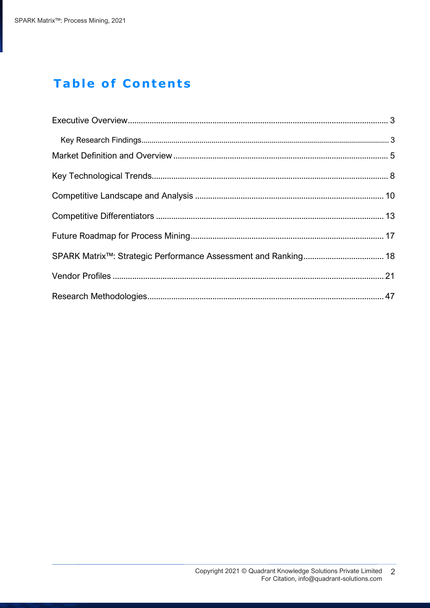## **Table of Contents**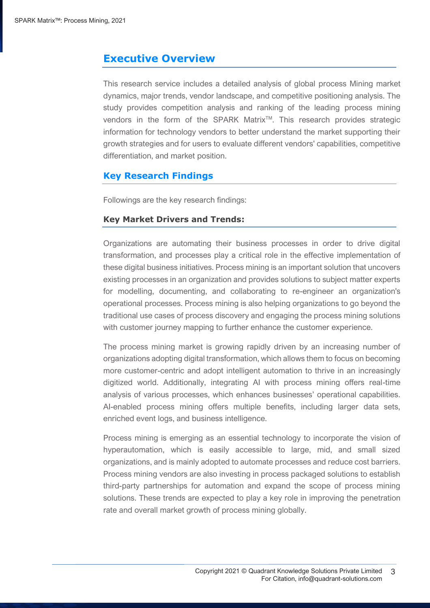## <span id="page-2-0"></span>**Executive Overview**

This research service includes a detailed analysis of global process Mining market dynamics, major trends, vendor landscape, and competitive positioning analysis. The study provides competition analysis and ranking of the leading process mining vendors in the form of the SPARK Matrix<sup>™</sup>. This research provides strategic information for technology vendors to better understand the market supporting their growth strategies and for users to evaluate different vendors' capabilities, competitive differentiation, and market position.

## <span id="page-2-1"></span>**Key Research Findings**

Followings are the key research findings:

#### **Key Market Drivers and Trends:**

Organizations are automating their business processes in order to drive digital transformation, and processes play a critical role in the effective implementation of these digital business initiatives. Process mining is an important solution that uncovers existing processes in an organization and provides solutions to subject matter experts for modelling, documenting, and collaborating to re-engineer an organization's operational processes. Process mining is also helping organizations to go beyond the traditional use cases of process discovery and engaging the process mining solutions with customer journey mapping to further enhance the customer experience.

The process mining market is growing rapidly driven by an increasing number of organizations adopting digital transformation, which allows them to focus on becoming more customer-centric and adopt intelligent automation to thrive in an increasingly digitized world. Additionally, integrating AI with process mining offers real-time analysis of various processes, which enhances businesses' operational capabilities. AI-enabled process mining offers multiple benefits, including larger data sets, enriched event logs, and business intelligence.

Process mining is emerging as an essential technology to incorporate the vision of hyperautomation, which is easily accessible to large, mid, and small sized organizations, and is mainly adopted to automate processes and reduce cost barriers. Process mining vendors are also investing in process packaged solutions to establish third-party partnerships for automation and expand the scope of process mining solutions. These trends are expected to play a key role in improving the penetration rate and overall market growth of process mining globally.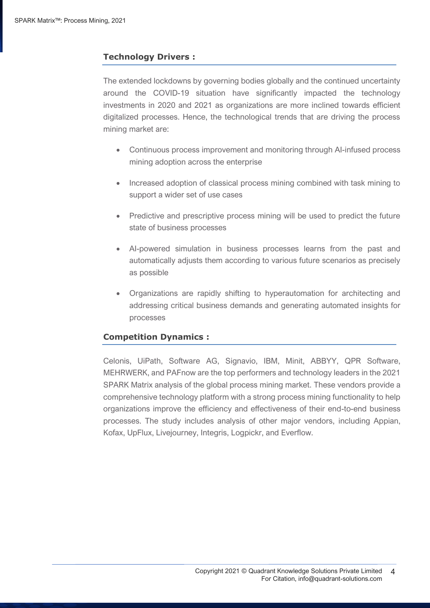## **Technology Drivers :**

The extended lockdowns by governing bodies globally and the continued uncertainty around the COVID-19 situation have significantly impacted the technology investments in 2020 and 2021 as organizations are more inclined towards efficient digitalized processes. Hence, the technological trends that are driving the process mining market are:

- Continuous process improvement and monitoring through AI-infused process mining adoption across the enterprise
- Increased adoption of classical process mining combined with task mining to support a wider set of use cases
- Predictive and prescriptive process mining will be used to predict the future state of business processes
- AI-powered simulation in business processes learns from the past and automatically adjusts them according to various future scenarios as precisely as possible
- Organizations are rapidly shifting to hyperautomation for architecting and addressing critical business demands and generating automated insights for processes

## **Competition Dynamics :**

Celonis, UiPath, Software AG, Signavio, IBM, Minit, ABBYY, QPR Software, MEHRWERK, and PAFnow are the top performers and technology leaders in the 2021 SPARK Matrix analysis of the global process mining market. These vendors provide a comprehensive technology platform with a strong process mining functionality to help organizations improve the efficiency and effectiveness of their end-to-end business processes. The study includes analysis of other major vendors, including Appian, Kofax, UpFlux, Livejourney, Integris, Logpickr, and Everflow.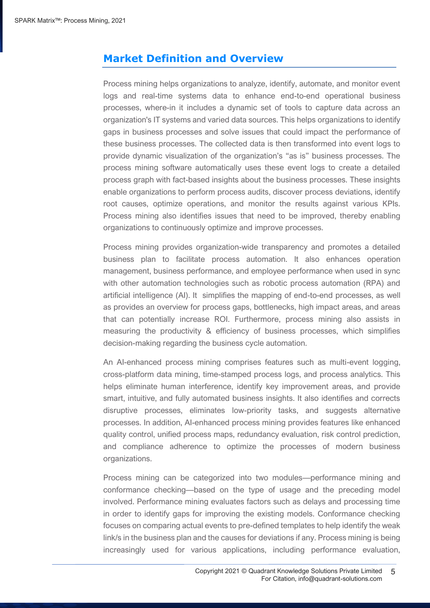## <span id="page-4-0"></span>**Market Definition and Overview**

Process mining helps organizations to analyze, identify, automate, and monitor event logs and real-time systems data to enhance end-to-end operational business processes, where-in it includes a dynamic set of tools to capture data across an organization's IT systems and varied data sources. This helps organizations to identify gaps in business processes and solve issues that could impact the performance of these business processes. The collected data is then transformed into event logs to provide dynamic visualization of the organization's "as is" business processes. The process mining software automatically uses these event logs to create a detailed process graph with fact-based insights about the business processes. These insights enable organizations to perform process audits, discover process deviations, identify root causes, optimize operations, and monitor the results against various KPIs. Process mining also identifies issues that need to be improved, thereby enabling organizations to continuously optimize and improve processes.

Process mining provides organization-wide transparency and promotes a detailed business plan to facilitate process automation. It also enhances operation management, business performance, and employee performance when used in sync with other automation technologies such as robotic process automation (RPA) and artificial intelligence (AI). It simplifies the mapping of end-to-end processes, as well as provides an overview for process gaps, bottlenecks, high impact areas, and areas that can potentially increase ROI. Furthermore, process mining also assists in measuring the productivity & efficiency of business processes, which simplifies decision-making regarding the business cycle automation.

An AI-enhanced process mining comprises features such as multi-event logging, cross-platform data mining, time-stamped process logs, and process analytics. This helps eliminate human interference, identify key improvement areas, and provide smart, intuitive, and fully automated business insights. It also identifies and corrects disruptive processes, eliminates low-priority tasks, and suggests alternative processes. In addition, AI-enhanced process mining provides features like enhanced quality control, unified process maps, redundancy evaluation, risk control prediction, and compliance adherence to optimize the processes of modern business organizations.

Process mining can be categorized into two modules—performance mining and conformance checking—based on the type of usage and the preceding model involved. Performance mining evaluates factors such as delays and processing time in order to identify gaps for improving the existing models. Conformance checking focuses on comparing actual events to pre-defined templates to help identify the weak link/s in the business plan and the causes for deviations if any. Process mining is being increasingly used for various applications, including performance evaluation,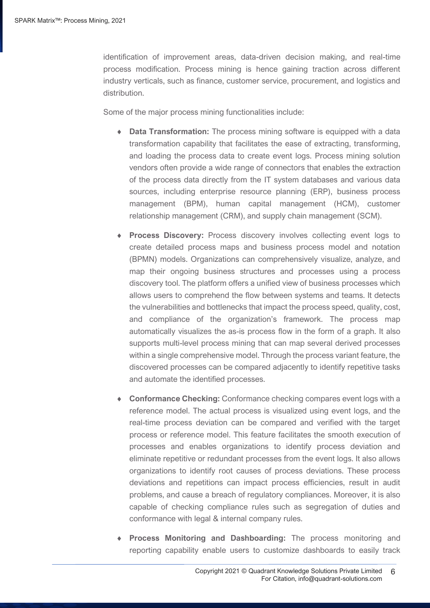identification of improvement areas, data-driven decision making, and real-time process modification. Process mining is hence gaining traction across different industry verticals, such as finance, customer service, procurement, and logistics and distribution.

Some of the major process mining functionalities include:

- **Data Transformation:** The process mining software is equipped with a data transformation capability that facilitates the ease of extracting, transforming, and loading the process data to create event logs. Process mining solution vendors often provide a wide range of connectors that enables the extraction of the process data directly from the IT system databases and various data sources, including enterprise resource planning (ERP), business process management (BPM), human capital management (HCM), customer relationship management (CRM), and supply chain management (SCM).
- **Process Discovery:** Process discovery involves collecting event logs to create detailed process maps and business process model and notation (BPMN) models. Organizations can comprehensively visualize, analyze, and map their ongoing business structures and processes using a process discovery tool. The platform offers a unified view of business processes which allows users to comprehend the flow between systems and teams. It detects the vulnerabilities and bottlenecks that impact the process speed, quality, cost, and compliance of the organization's framework. The process map automatically visualizes the as-is process flow in the form of a graph. It also supports multi-level process mining that can map several derived processes within a single comprehensive model. Through the process variant feature, the discovered processes can be compared adjacently to identify repetitive tasks and automate the identified processes.
- **Conformance Checking:** Conformance checking compares event logs with a reference model. The actual process is visualized using event logs, and the real-time process deviation can be compared and verified with the target process or reference model. This feature facilitates the smooth execution of processes and enables organizations to identify process deviation and eliminate repetitive or redundant processes from the event logs. It also allows organizations to identify root causes of process deviations. These process deviations and repetitions can impact process efficiencies, result in audit problems, and cause a breach of regulatory compliances. Moreover, it is also capable of checking compliance rules such as segregation of duties and conformance with legal & internal company rules.
- **Process Monitoring and Dashboarding:** The process monitoring and reporting capability enable users to customize dashboards to easily track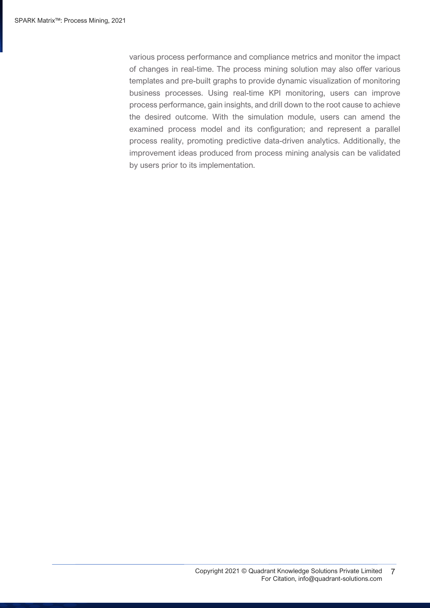various process performance and compliance metrics and monitor the impact of changes in real-time. The process mining solution may also offer various templates and pre-built graphs to provide dynamic visualization of monitoring business processes. Using real-time KPI monitoring, users can improve process performance, gain insights, and drill down to the root cause to achieve the desired outcome. With the simulation module, users can amend the examined process model and its configuration; and represent a parallel process reality, promoting predictive data-driven analytics. Additionally, the improvement ideas produced from process mining analysis can be validated by users prior to its implementation.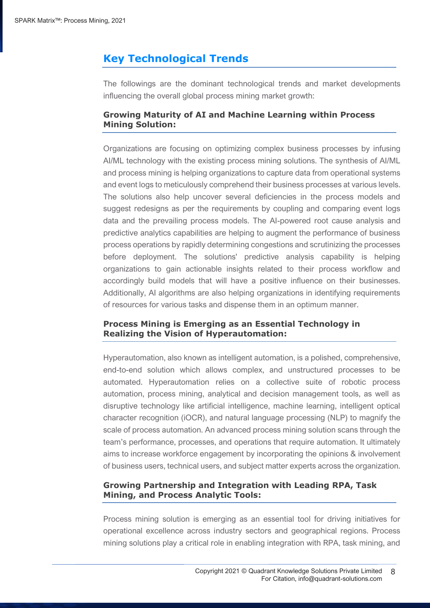## <span id="page-7-0"></span>**Key Technological Trends**

The followings are the dominant technological trends and market developments influencing the overall global process mining market growth:

## **Growing Maturity of AI and Machine Learning within Process Mining Solution:**

Organizations are focusing on optimizing complex business processes by infusing AI/ML technology with the existing process mining solutions. The synthesis of AI/ML and process mining is helping organizations to capture data from operational systems and event logs to meticulously comprehend their business processes at various levels. The solutions also help uncover several deficiencies in the process models and suggest redesigns as per the requirements by coupling and comparing event logs data and the prevailing process models. The AI-powered root cause analysis and predictive analytics capabilities are helping to augment the performance of business process operations by rapidly determining congestions and scrutinizing the processes before deployment. The solutions' predictive analysis capability is helping organizations to gain actionable insights related to their process workflow and accordingly build models that will have a positive influence on their businesses. Additionally, AI algorithms are also helping organizations in identifying requirements of resources for various tasks and dispense them in an optimum manner.

## **Process Mining is Emerging as an Essential Technology in Realizing the Vision of Hyperautomation:**

Hyperautomation, also known as intelligent automation, is a polished, comprehensive, end-to-end solution which allows complex, and unstructured processes to be automated. Hyperautomation relies on a collective suite of robotic process automation, process mining, analytical and decision management tools, as well as disruptive technology like artificial intelligence, machine learning, intelligent optical character recognition (iOCR), and natural language processing (NLP) to magnify the scale of process automation. An advanced process mining solution scans through the team's performance, processes, and operations that require automation. It ultimately aims to increase workforce engagement by incorporating the opinions & involvement of business users, technical users, and subject matter experts across the organization.

## **Growing Partnership and Integration with Leading RPA, Task Mining, and Process Analytic Tools:**

Process mining solution is emerging as an essential tool for driving initiatives for operational excellence across industry sectors and geographical regions. Process mining solutions play a critical role in enabling integration with RPA, task mining, and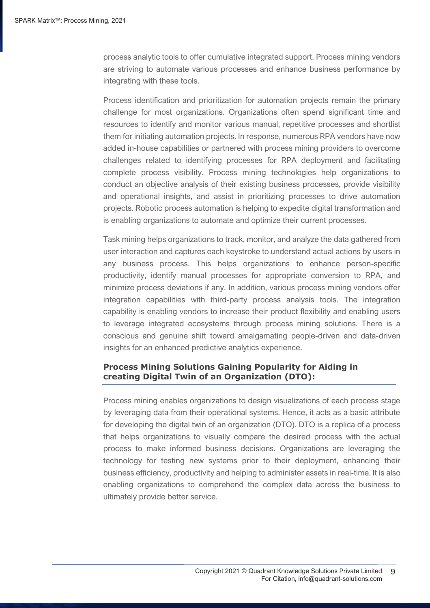process analytic tools to offer cumulative integrated support. Process mining vendors are striving to automate various processes and enhance business performance by integrating with these tools.

Process identification and prioritization for automation projects remain the primary challenge for most organizations. Organizations often spend significant time and resources to identify and monitor various manual, repetitive processes and shortlist them for initiating automation projects. In response, numerous RPA vendors have now added in-house capabilities or partnered with process mining providers to overcome challenges related to identifying processes for RPA deployment and facilitating complete process visibility. Process mining technologies help organizations to conduct an objective analysis of their existing business processes, provide visibility and operational insights, and assist in prioritizing processes to drive automation projects. Robotic process automation is helping to expedite digital transformation and is enabling organizations to automate and optimize their current processes.

Task mining helps organizations to track, monitor, and analyze the data gathered from user interaction and captures each keystroke to understand actual actions by users in any business process. This helps organizations to enhance person-specific productivity, identify manual processes for appropriate conversion to RPA, and minimize process deviations if any. In addition, various process mining vendors offer integration capabilities with third-party process analysis tools. The integration capability is enabling vendors to increase their product flexibility and enabling users to leverage integrated ecosystems through process mining solutions. There is a conscious and genuine shift toward amalgamating people-driven and data-driven insights for an enhanced predictive analytics experience.

## **Process Mining Solutions Gaining Popularity for Aiding in creating Digital Twin of an Organization (DTO):**

Process mining enables organizations to design visualizations of each process stage by leveraging data from their operational systems. Hence, it acts as a basic attribute for developing the digital twin of an organization (DTO). DTO is a replica of a process that helps organizations to visually compare the desired process with the actual process to make informed business decisions. Organizations are leveraging the technology for testing new systems prior to their deployment, enhancing their business efficiency, productivity and helping to administer assets in real-time. It is also enabling organizations to comprehend the complex data across the business to ultimately provide better service.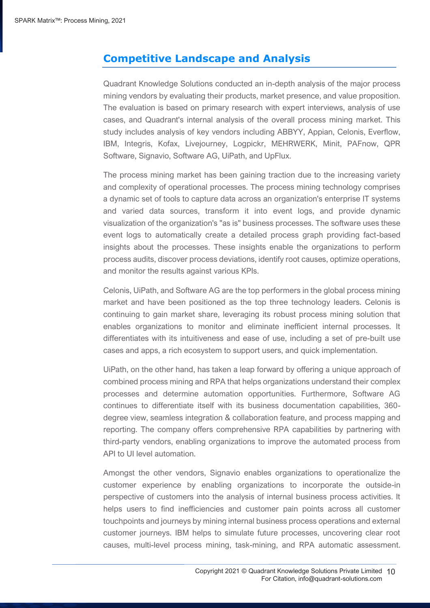## <span id="page-9-0"></span>**Competitive Landscape and Analysis**

Quadrant Knowledge Solutions conducted an in-depth analysis of the major process mining vendors by evaluating their products, market presence, and value proposition. The evaluation is based on primary research with expert interviews, analysis of use cases, and Quadrant's internal analysis of the overall process mining market. This study includes analysis of key vendors including ABBYY, Appian, Celonis, Everflow, IBM, Integris, Kofax, Livejourney, Logpickr, MEHRWERK, Minit, PAFnow, QPR Software, Signavio, Software AG, UiPath, and UpFlux.

The process mining market has been gaining traction due to the increasing variety and complexity of operational processes. The process mining technology comprises a dynamic set of tools to capture data across an organization's enterprise IT systems and varied data sources, transform it into event logs, and provide dynamic visualization of the organization's "as is" business processes. The software uses these event logs to automatically create a detailed process graph providing fact-based insights about the processes. These insights enable the organizations to perform process audits, discover process deviations, identify root causes, optimize operations, and monitor the results against various KPIs.

Celonis, UiPath, and Software AG are the top performers in the global process mining market and have been positioned as the top three technology leaders. Celonis is continuing to gain market share, leveraging its robust process mining solution that enables organizations to monitor and eliminate inefficient internal processes. It differentiates with its intuitiveness and ease of use, including a set of pre-built use cases and apps, a rich ecosystem to support users, and quick implementation.

UiPath, on the other hand, has taken a leap forward by offering a unique approach of combined process mining and RPA that helps organizations understand their complex processes and determine automation opportunities. Furthermore, Software AG continues to differentiate itself with its business documentation capabilities, 360 degree view, seamless integration & collaboration feature, and process mapping and reporting. The company offers comprehensive RPA capabilities by partnering with third-party vendors, enabling organizations to improve the automated process from API to UI level automation.

Amongst the other vendors, Signavio enables organizations to operationalize the customer experience by enabling organizations to incorporate the outside-in perspective of customers into the analysis of internal business process activities. It helps users to find inefficiencies and customer pain points across all customer touchpoints and journeys by mining internal business process operations and external customer journeys. IBM helps to simulate future processes, uncovering clear root causes, multi-level process mining, task-mining, and RPA automatic assessment.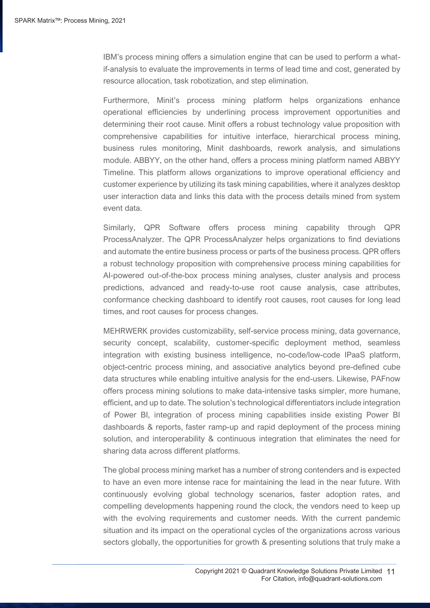IBM's process mining offers a simulation engine that can be used to perform a whatif-analysis to evaluate the improvements in terms of lead time and cost, generated by resource allocation, task robotization, and step elimination.

Furthermore, Minit's process mining platform helps organizations enhance operational efficiencies by underlining process improvement opportunities and determining their root cause. Minit offers a robust technology value proposition with comprehensive capabilities for intuitive interface, hierarchical process mining, business rules monitoring, Minit dashboards, rework analysis, and simulations module. ABBYY, on the other hand, offers a process mining platform named ABBYY Timeline. This platform allows organizations to improve operational efficiency and customer experience by utilizing its task mining capabilities, where it analyzes desktop user interaction data and links this data with the process details mined from system event data.

Similarly, QPR Software offers process mining capability through QPR ProcessAnalyzer. The QPR ProcessAnalyzer helps organizations to find deviations and automate the entire business process or parts of the business process. QPR offers a robust technology proposition with comprehensive process mining capabilities for AI-powered out-of-the-box process mining analyses, cluster analysis and process predictions, advanced and ready-to-use root cause analysis, case attributes, conformance checking dashboard to identify root causes, root causes for long lead times, and root causes for process changes.

MEHRWERK provides customizability, self-service process mining, data governance, security concept, scalability, customer-specific deployment method, seamless integration with existing business intelligence, no-code/low-code IPaaS platform, object-centric process mining, and associative analytics beyond pre-defined cube data structures while enabling intuitive analysis for the end-users. Likewise, PAFnow offers process mining solutions to make data-intensive tasks simpler, more humane, efficient, and up to date. The solution's technological differentiators include integration of Power BI, integration of process mining capabilities inside existing Power BI dashboards & reports, faster ramp-up and rapid deployment of the process mining solution, and interoperability & continuous integration that eliminates the need for sharing data across different platforms.

The global process mining market has a number of strong contenders and is expected to have an even more intense race for maintaining the lead in the near future. With continuously evolving global technology scenarios, faster adoption rates, and compelling developments happening round the clock, the vendors need to keep up with the evolving requirements and customer needs. With the current pandemic situation and its impact on the operational cycles of the organizations across various sectors globally, the opportunities for growth & presenting solutions that truly make a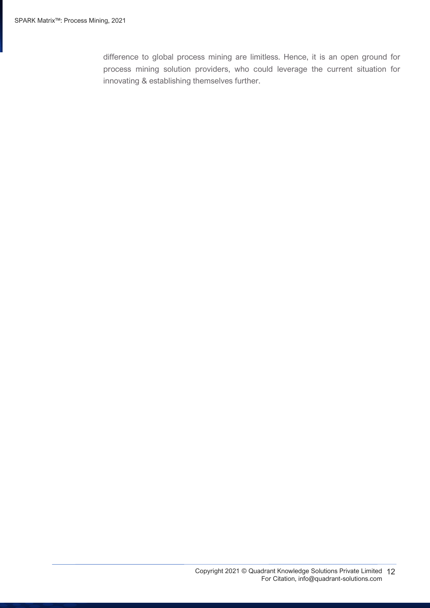difference to global process mining are limitless. Hence, it is an open ground for process mining solution providers, who could leverage the current situation for innovating & establishing themselves further.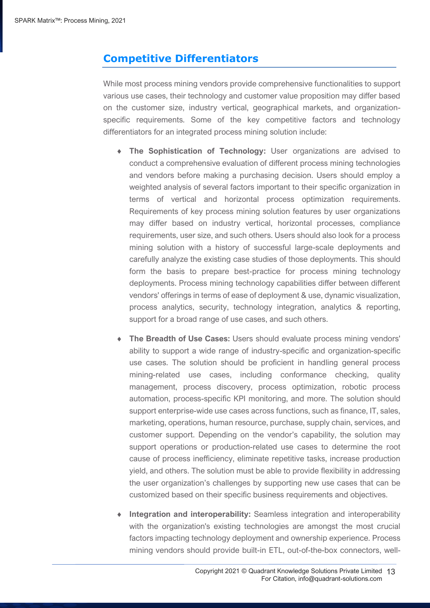## <span id="page-12-0"></span>**Competitive Differentiators**

While most process mining vendors provide comprehensive functionalities to support various use cases, their technology and customer value proposition may differ based on the customer size, industry vertical, geographical markets, and organizationspecific requirements. Some of the key competitive factors and technology differentiators for an integrated process mining solution include:

- **The Sophistication of Technology:** User organizations are advised to conduct a comprehensive evaluation of different process mining technologies and vendors before making a purchasing decision. Users should employ a weighted analysis of several factors important to their specific organization in terms of vertical and horizontal process optimization requirements. Requirements of key process mining solution features by user organizations may differ based on industry vertical, horizontal processes, compliance requirements, user size, and such others. Users should also look for a process mining solution with a history of successful large-scale deployments and carefully analyze the existing case studies of those deployments. This should form the basis to prepare best-practice for process mining technology deployments. Process mining technology capabilities differ between different vendors' offerings in terms of ease of deployment & use, dynamic visualization, process analytics, security, technology integration, analytics & reporting, support for a broad range of use cases, and such others.
- **The Breadth of Use Cases:** Users should evaluate process mining vendors' ability to support a wide range of industry-specific and organization-specific use cases. The solution should be proficient in handling general process mining-related use cases, including conformance checking, quality management, process discovery, process optimization, robotic process automation, process-specific KPI monitoring, and more. The solution should support enterprise-wide use cases across functions, such as finance, IT, sales, marketing, operations, human resource, purchase, supply chain, services, and customer support. Depending on the vendor's capability, the solution may support operations or production-related use cases to determine the root cause of process inefficiency, eliminate repetitive tasks, increase production yield, and others. The solution must be able to provide flexibility in addressing the user organization's challenges by supporting new use cases that can be customized based on their specific business requirements and objectives.
- **Integration and interoperability:** Seamless integration and interoperability with the organization's existing technologies are amongst the most crucial factors impacting technology deployment and ownership experience. Process mining vendors should provide built-in ETL, out-of-the-box connectors, well-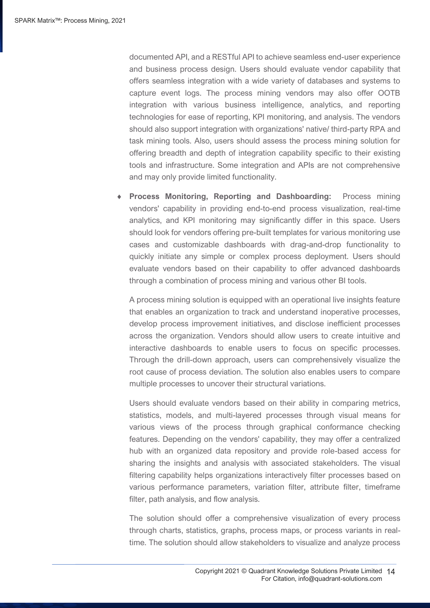documented API, and a RESTful API to achieve seamless end-user experience and business process design. Users should evaluate vendor capability that offers seamless integration with a wide variety of databases and systems to capture event logs. The process mining vendors may also offer OOTB integration with various business intelligence, analytics, and reporting technologies for ease of reporting, KPI monitoring, and analysis. The vendors should also support integration with organizations' native/ third-party RPA and task mining tools. Also, users should assess the process mining solution for offering breadth and depth of integration capability specific to their existing tools and infrastructure. Some integration and APIs are not comprehensive and may only provide limited functionality.

 **Process Monitoring, Reporting and Dashboarding:** Process mining vendors' capability in providing end-to-end process visualization, real-time analytics, and KPI monitoring may significantly differ in this space. Users should look for vendors offering pre-built templates for various monitoring use cases and customizable dashboards with drag-and-drop functionality to quickly initiate any simple or complex process deployment. Users should evaluate vendors based on their capability to offer advanced dashboards through a combination of process mining and various other BI tools.

A process mining solution is equipped with an operational live insights feature that enables an organization to track and understand inoperative processes, develop process improvement initiatives, and disclose inefficient processes across the organization. Vendors should allow users to create intuitive and interactive dashboards to enable users to focus on specific processes. Through the drill-down approach, users can comprehensively visualize the root cause of process deviation. The solution also enables users to compare multiple processes to uncover their structural variations.

Users should evaluate vendors based on their ability in comparing metrics, statistics, models, and multi-layered processes through visual means for various views of the process through graphical conformance checking features. Depending on the vendors' capability, they may offer a centralized hub with an organized data repository and provide role-based access for sharing the insights and analysis with associated stakeholders. The visual filtering capability helps organizations interactively filter processes based on various performance parameters, variation filter, attribute filter, timeframe filter, path analysis, and flow analysis.

The solution should offer a comprehensive visualization of every process through charts, statistics, graphs, process maps, or process variants in realtime. The solution should allow stakeholders to visualize and analyze process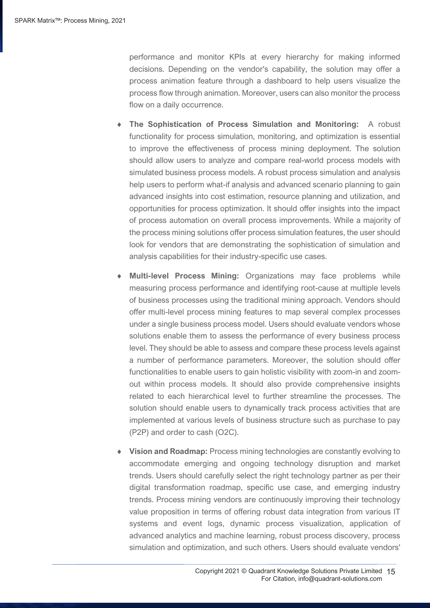performance and monitor KPIs at every hierarchy for making informed decisions. Depending on the vendor's capability, the solution may offer a process animation feature through a dashboard to help users visualize the process flow through animation. Moreover, users can also monitor the process flow on a daily occurrence.

- **The Sophistication of Process Simulation and Monitoring:** A robust functionality for process simulation, monitoring, and optimization is essential to improve the effectiveness of process mining deployment. The solution should allow users to analyze and compare real-world process models with simulated business process models. A robust process simulation and analysis help users to perform what-if analysis and advanced scenario planning to gain advanced insights into cost estimation, resource planning and utilization, and opportunities for process optimization. It should offer insights into the impact of process automation on overall process improvements. While a majority of the process mining solutions offer process simulation features, the user should look for vendors that are demonstrating the sophistication of simulation and analysis capabilities for their industry-specific use cases.
- **Multi-level Process Mining:** Organizations may face problems while measuring process performance and identifying root-cause at multiple levels of business processes using the traditional mining approach. Vendors should offer multi-level process mining features to map several complex processes under a single business process model. Users should evaluate vendors whose solutions enable them to assess the performance of every business process level. They should be able to assess and compare these process levels against a number of performance parameters. Moreover, the solution should offer functionalities to enable users to gain holistic visibility with zoom-in and zoomout within process models. It should also provide comprehensive insights related to each hierarchical level to further streamline the processes. The solution should enable users to dynamically track process activities that are implemented at various levels of business structure such as purchase to pay (P2P) and order to cash (O2C).
- **Vision and Roadmap:** Process mining technologies are constantly evolving to accommodate emerging and ongoing technology disruption and market trends. Users should carefully select the right technology partner as per their digital transformation roadmap, specific use case, and emerging industry trends. Process mining vendors are continuously improving their technology value proposition in terms of offering robust data integration from various IT systems and event logs, dynamic process visualization, application of advanced analytics and machine learning, robust process discovery, process simulation and optimization, and such others. Users should evaluate vendors'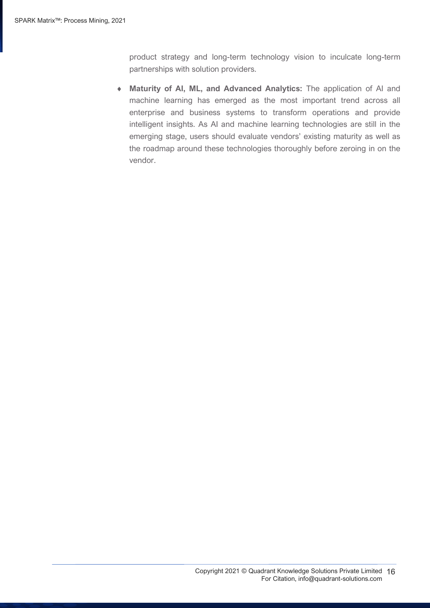product strategy and long-term technology vision to inculcate long-term partnerships with solution providers.

 **Maturity of AI, ML, and Advanced Analytics:** The application of AI and machine learning has emerged as the most important trend across all enterprise and business systems to transform operations and provide intelligent insights. As AI and machine learning technologies are still in the emerging stage, users should evaluate vendors' existing maturity as well as the roadmap around these technologies thoroughly before zeroing in on the vendor.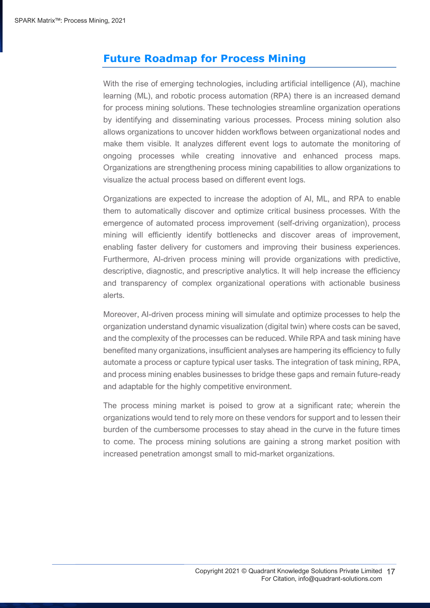## <span id="page-16-0"></span>**Future Roadmap for Process Mining**

With the rise of emerging technologies, including artificial intelligence (AI), machine learning (ML), and robotic process automation (RPA) there is an increased demand for process mining solutions. These technologies streamline organization operations by identifying and disseminating various processes. Process mining solution also allows organizations to uncover hidden workflows between organizational nodes and make them visible. It analyzes different event logs to automate the monitoring of ongoing processes while creating innovative and enhanced process maps. Organizations are strengthening process mining capabilities to allow organizations to visualize the actual process based on different event logs.

Organizations are expected to increase the adoption of AI, ML, and RPA to enable them to automatically discover and optimize critical business processes. With the emergence of automated process improvement (self-driving organization), process mining will efficiently identify bottlenecks and discover areas of improvement, enabling faster delivery for customers and improving their business experiences. Furthermore, AI-driven process mining will provide organizations with predictive, descriptive, diagnostic, and prescriptive analytics. It will help increase the efficiency and transparency of complex organizational operations with actionable business alerts.

Moreover, AI-driven process mining will simulate and optimize processes to help the organization understand dynamic visualization (digital twin) where costs can be saved, and the complexity of the processes can be reduced. While RPA and task mining have benefited many organizations, insufficient analyses are hampering its efficiency to fully automate a process or capture typical user tasks. The integration of task mining, RPA, and process mining enables businesses to bridge these gaps and remain future-ready and adaptable for the highly competitive environment.

The process mining market is poised to grow at a significant rate; wherein the organizations would tend to rely more on these vendors for support and to lessen their burden of the cumbersome processes to stay ahead in the curve in the future times to come. The process mining solutions are gaining a strong market position with increased penetration amongst small to mid-market organizations.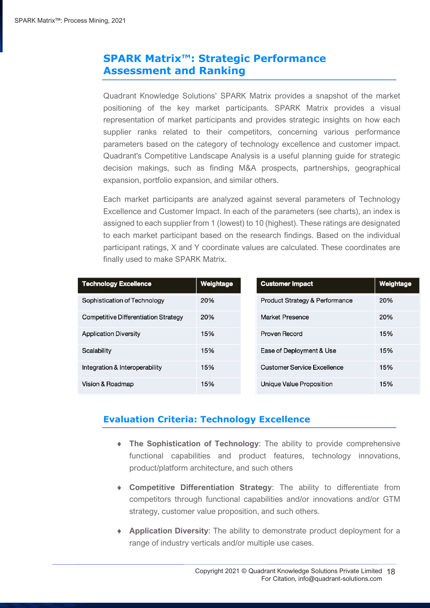## <span id="page-17-0"></span>**SPARK Matrix™: Strategic Performance Assessment and Ranking**

Quadrant Knowledge Solutions' SPARK Matrix provides a snapshot of the market positioning of the key market participants. SPARK Matrix provides a visual representation of market participants and provides strategic insights on how each supplier ranks related to their competitors, concerning various performance parameters based on the category of technology excellence and customer impact. Quadrant's Competitive Landscape Analysis is a useful planning guide for strategic decision makings, such as finding M&A prospects, partnerships, geographical expansion, portfolio expansion, and similar others.

Each market participants are analyzed against several parameters of Technology Excellence and Customer Impact. In each of the parameters (see charts), an index is assigned to each supplier from 1 (lowest) to 10 (highest). These ratings are designated to each market participant based on the research findings. Based on the individual participant ratings, X and Y coordinate values are calculated. These coordinates are finally used to make SPARK Matrix.

| <b>Technology Excellence</b>         | Weightage | <b>Customer Impact</b>                    | Weightage |
|--------------------------------------|-----------|-------------------------------------------|-----------|
| Sophistication of Technology         | 20%       | <b>Product Strategy &amp; Performance</b> | 20%       |
| Competitive Differentiation Strategy | 20%       | Market Presence                           | 20%       |
| <b>Application Diversity</b>         | 15%       | Proven Record                             | 15%       |
| Scalability                          | 15%       | Ease of Deployment & Use                  | 15%       |
| Integration & Interoperability       | 15%       | <b>Customer Service Excellence</b>        | 15%       |
| Vision & Roadmap                     | 15%       | Unique Value Proposition                  | 15%       |

## **Evaluation Criteria: Technology Excellence**

- **The Sophistication of Technology**: The ability to provide comprehensive functional capabilities and product features, technology innovations, product/platform architecture, and such others
- **Competitive Differentiation Strategy**: The ability to differentiate from competitors through functional capabilities and/or innovations and/or GTM strategy, customer value proposition, and such others.
- **Application Diversity**: The ability to demonstrate product deployment for a range of industry verticals and/or multiple use cases.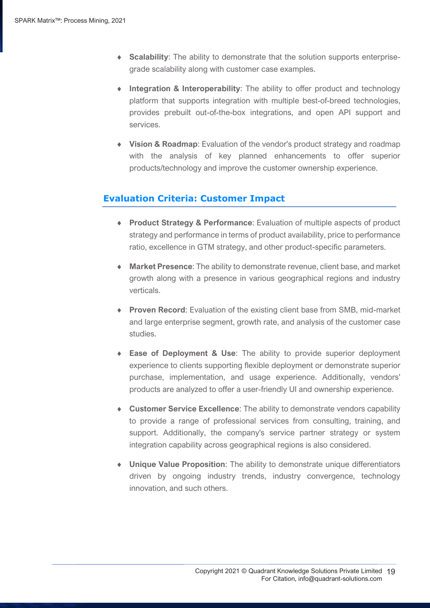- **Scalability**: The ability to demonstrate that the solution supports enterprisegrade scalability along with customer case examples.
- **Integration & Interoperability**: The ability to offer product and technology platform that supports integration with multiple best-of-breed technologies, provides prebuilt out-of-the-box integrations, and open API support and services.
- **Vision & Roadmap**: Evaluation of the vendor's product strategy and roadmap with the analysis of key planned enhancements to offer superior products/technology and improve the customer ownership experience.

## **Evaluation Criteria: Customer Impact**

- **Product Strategy & Performance**: Evaluation of multiple aspects of product strategy and performance in terms of product availability, price to performance ratio, excellence in GTM strategy, and other product-specific parameters.
- **Market Presence**: The ability to demonstrate revenue, client base, and market growth along with a presence in various geographical regions and industry verticals.
- **Proven Record**: Evaluation of the existing client base from SMB, mid-market and large enterprise segment, growth rate, and analysis of the customer case studies.
- **Ease of Deployment & Use**: The ability to provide superior deployment experience to clients supporting flexible deployment or demonstrate superior purchase, implementation, and usage experience. Additionally, vendors' products are analyzed to offer a user-friendly UI and ownership experience.
- **Customer Service Excellence**: The ability to demonstrate vendors capability to provide a range of professional services from consulting, training, and support. Additionally, the company's service partner strategy or system integration capability across geographical regions is also considered.
- **Unique Value Proposition**: The ability to demonstrate unique differentiators driven by ongoing industry trends, industry convergence, technology innovation, and such others.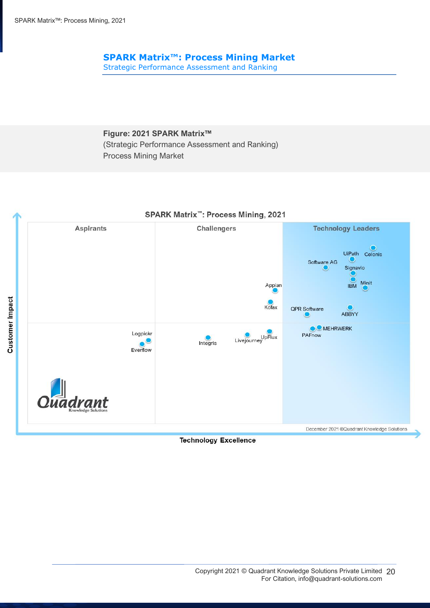## **SPARK Matrix™: Process Mining Market**

Strategic Performance Assessment and Ranking

**Figure: 2021 SPARK Matrix™** (Strategic Performance Assessment and Ranking) Process Mining Market



#### **Technology Excellence**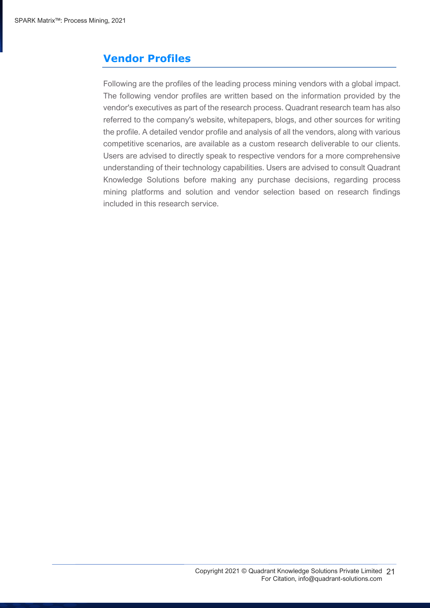## <span id="page-20-0"></span>**Vendor Profiles**

Following are the profiles of the leading process mining vendors with a global impact. The following vendor profiles are written based on the information provided by the vendor's executives as part of the research process. Quadrant research team has also referred to the company's website, whitepapers, blogs, and other sources for writing the profile. A detailed vendor profile and analysis of all the vendors, along with various competitive scenarios, are available as a custom research deliverable to our clients. Users are advised to directly speak to respective vendors for a more comprehensive understanding of their technology capabilities. Users are advised to consult Quadrant Knowledge Solutions before making any purchase decisions, regarding process mining platforms and solution and vendor selection based on research findings included in this research service.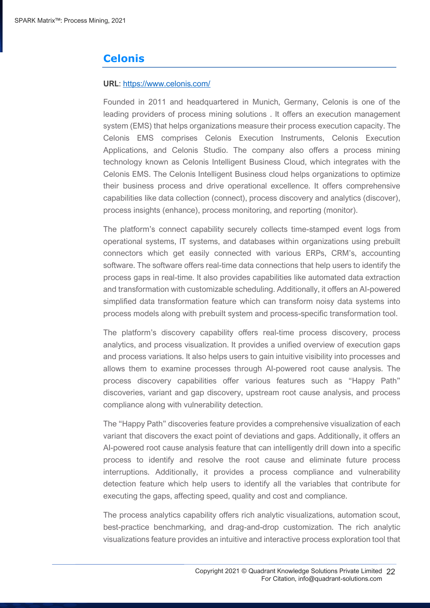## **Celonis**

#### **URL**: https://www.celonis.com/

Founded in 2011 and headquartered in Munich, Germany, Celonis is one of the leading providers of process mining solutions . It offers an execution management system (EMS) that helps organizations measure their process execution capacity. The Celonis EMS comprises Celonis Execution Instruments, Celonis Execution Applications, and Celonis Studio. The company also offers a process mining technology known as Celonis Intelligent Business Cloud, which integrates with the Celonis EMS. The Celonis Intelligent Business cloud helps organizations to optimize their business process and drive operational excellence. It offers comprehensive capabilities like data collection (connect), process discovery and analytics (discover), process insights (enhance), process monitoring, and reporting (monitor).

The platform's connect capability securely collects time-stamped event logs from operational systems, IT systems, and databases within organizations using prebuilt connectors which get easily connected with various ERPs, CRM's, accounting software. The software offers real-time data connections that help users to identify the process gaps in real-time. It also provides capabilities like automated data extraction and transformation with customizable scheduling. Additionally, it offers an AI-powered simplified data transformation feature which can transform noisy data systems into process models along with prebuilt system and process-specific transformation tool.

The platform's discovery capability offers real-time process discovery, process analytics, and process visualization. It provides a unified overview of execution gaps and process variations. It also helps users to gain intuitive visibility into processes and allows them to examine processes through AI-powered root cause analysis. The process discovery capabilities offer various features such as "Happy Path" discoveries, variant and gap discovery, upstream root cause analysis, and process compliance along with vulnerability detection.

The "Happy Path" discoveries feature provides a comprehensive visualization of each variant that discovers the exact point of deviations and gaps. Additionally, it offers an AI-powered root cause analysis feature that can intelligently drill down into a specific process to identify and resolve the root cause and eliminate future process interruptions. Additionally, it provides a process compliance and vulnerability detection feature which help users to identify all the variables that contribute for executing the gaps, affecting speed, quality and cost and compliance.

The process analytics capability offers rich analytic visualizations, automation scout, best-practice benchmarking, and drag-and-drop customization. The rich analytic visualizations feature provides an intuitive and interactive process exploration tool that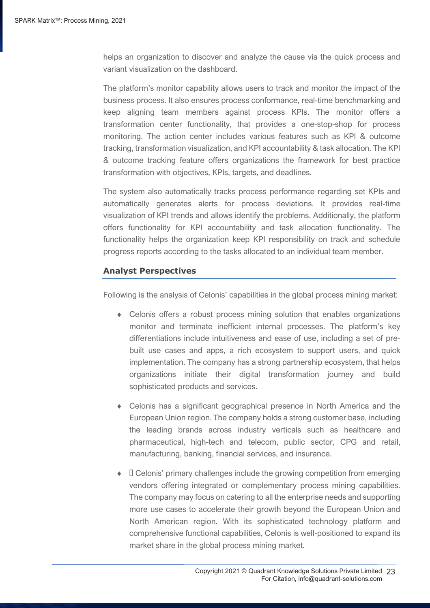helps an organization to discover and analyze the cause via the quick process and variant visualization on the dashboard.

The platform's monitor capability allows users to track and monitor the impact of the business process. It also ensures process conformance, real-time benchmarking and keep aligning team members against process KPIs. The monitor offers a transformation center functionality, that provides a one-stop-shop for process monitoring. The action center includes various features such as KPI & outcome tracking, transformation visualization, and KPI accountability & task allocation. The KPI & outcome tracking feature offers organizations the framework for best practice transformation with objectives, KPIs, targets, and deadlines.

The system also automatically tracks process performance regarding set KPIs and automatically generates alerts for process deviations. It provides real-time visualization of KPI trends and allows identify the problems. Additionally, the platform offers functionality for KPI accountability and task allocation functionality. The functionality helps the organization keep KPI responsibility on track and schedule progress reports according to the tasks allocated to an individual team member.

#### **Analyst Perspectives**

Following is the analysis of Celonis' capabilities in the global process mining market:

- Celonis offers a robust process mining solution that enables organizations monitor and terminate inefficient internal processes. The platform's key differentiations include intuitiveness and ease of use, including a set of prebuilt use cases and apps, a rich ecosystem to support users, and quick implementation. The company has a strong partnership ecosystem, that helps organizations initiate their digital transformation journey and build sophisticated products and services.
- Celonis has a significant geographical presence in North America and the European Union region. The company holds a strong customer base, including the leading brands across industry verticals such as healthcare and pharmaceutical, high-tech and telecom, public sector, CPG and retail, manufacturing, banking, financial services, and insurance.
- $\bullet$   $\Box$  Celonis' primary challenges include the growing competition from emerging vendors offering integrated or complementary process mining capabilities. The company may focus on catering to all the enterprise needs and supporting more use cases to accelerate their growth beyond the European Union and North American region. With its sophisticated technology platform and comprehensive functional capabilities, Celonis is well-positioned to expand its market share in the global process mining market.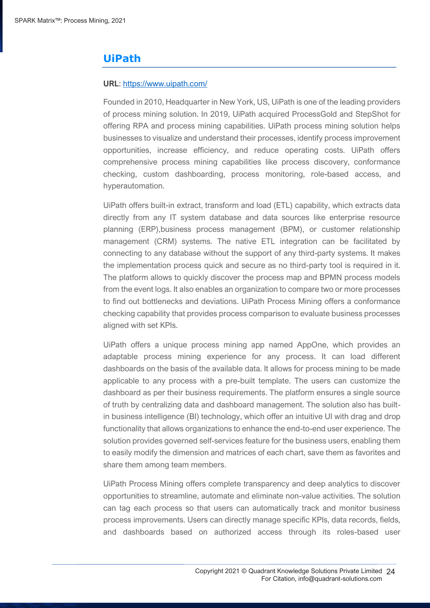## **UiPath**

#### **URL**: https://www.uipath.com/

Founded in 2010, Headquarter in New York, US, UiPath is one of the leading providers of process mining solution. In 2019, UiPath acquired ProcessGold and StepShot for offering RPA and process mining capabilities. UiPath process mining solution helps businesses to visualize and understand their processes, identify process improvement opportunities, increase efficiency, and reduce operating costs. UiPath offers comprehensive process mining capabilities like process discovery, conformance checking, custom dashboarding, process monitoring, role-based access, and hyperautomation.

UiPath offers built-in extract, transform and load (ETL) capability, which extracts data directly from any IT system database and data sources like enterprise resource planning (ERP),business process management (BPM), or customer relationship management (CRM) systems. The native ETL integration can be facilitated by connecting to any database without the support of any third-party systems. It makes the implementation process quick and secure as no third-party tool is required in it. The platform allows to quickly discover the process map and BPMN process models from the event logs. It also enables an organization to compare two or more processes to find out bottlenecks and deviations. UiPath Process Mining offers a conformance checking capability that provides process comparison to evaluate business processes aligned with set KPIs.

UiPath offers a unique process mining app named AppOne, which provides an adaptable process mining experience for any process. It can load different dashboards on the basis of the available data. It allows for process mining to be made applicable to any process with a pre-built template. The users can customize the dashboard as per their business requirements. The platform ensures a single source of truth by centralizing data and dashboard management. The solution also has builtin business intelligence (BI) technology, which offer an intuitive UI with drag and drop functionality that allows organizations to enhance the end-to-end user experience. The solution provides governed self-services feature for the business users, enabling them to easily modify the dimension and matrices of each chart, save them as favorites and share them among team members.

UiPath Process Mining offers complete transparency and deep analytics to discover opportunities to streamline, automate and eliminate non-value activities. The solution can tag each process so that users can automatically track and monitor business process improvements. Users can directly manage specific KPIs, data records, fields, and dashboards based on authorized access through its roles-based user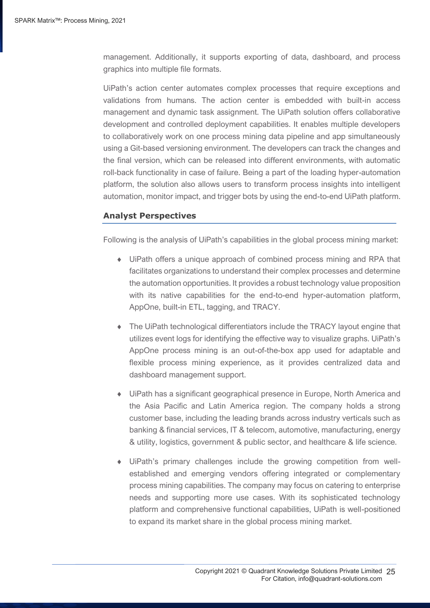management. Additionally, it supports exporting of data, dashboard, and process graphics into multiple file formats.

UiPath's action center automates complex processes that require exceptions and validations from humans. The action center is embedded with built-in access management and dynamic task assignment. The UiPath solution offers collaborative development and controlled deployment capabilities. It enables multiple developers to collaboratively work on one process mining data pipeline and app simultaneously using a Git-based versioning environment. The developers can track the changes and the final version, which can be released into different environments, with automatic roll-back functionality in case of failure. Being a part of the loading hyper-automation platform, the solution also allows users to transform process insights into intelligent automation, monitor impact, and trigger bots by using the end-to-end UiPath platform.

#### **Analyst Perspectives**

Following is the analysis of UiPath's capabilities in the global process mining market:

- UiPath offers a unique approach of combined process mining and RPA that facilitates organizations to understand their complex processes and determine the automation opportunities. It provides a robust technology value proposition with its native capabilities for the end-to-end hyper-automation platform, AppOne, built-in ETL, tagging, and TRACY.
- The UiPath technological differentiators include the TRACY layout engine that utilizes event logs for identifying the effective way to visualize graphs. UiPath's AppOne process mining is an out-of-the-box app used for adaptable and flexible process mining experience, as it provides centralized data and dashboard management support.
- UiPath has a significant geographical presence in Europe, North America and the Asia Pacific and Latin America region. The company holds a strong customer base, including the leading brands across industry verticals such as banking & financial services, IT & telecom, automotive, manufacturing, energy & utility, logistics, government & public sector, and healthcare & life science.
- UiPath's primary challenges include the growing competition from wellestablished and emerging vendors offering integrated or complementary process mining capabilities. The company may focus on catering to enterprise needs and supporting more use cases. With its sophisticated technology platform and comprehensive functional capabilities, UiPath is well-positioned to expand its market share in the global process mining market.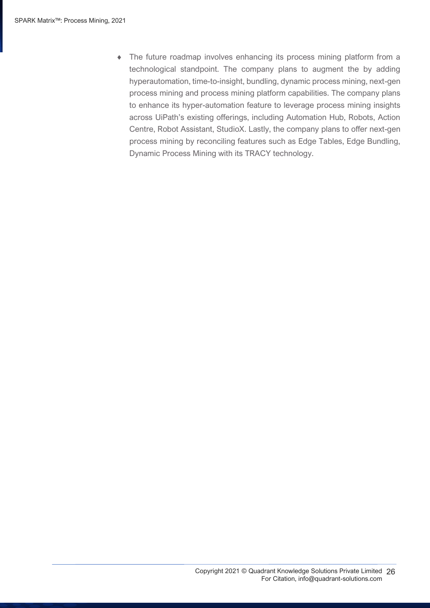The future roadmap involves enhancing its process mining platform from a technological standpoint. The company plans to augment the by adding hyperautomation, time-to-insight, bundling, dynamic process mining, next-gen process mining and process mining platform capabilities. The company plans to enhance its hyper-automation feature to leverage process mining insights across UiPath's existing offerings, including Automation Hub, Robots, Action Centre, Robot Assistant, StudioX. Lastly, the company plans to offer next-gen process mining by reconciling features such as Edge Tables, Edge Bundling, Dynamic Process Mining with its TRACY technology.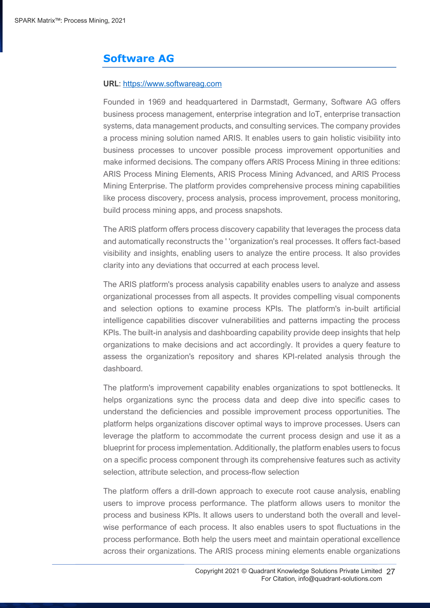## **Software AG**

#### **URL**: https://www.softwareag.com

Founded in 1969 and headquartered in Darmstadt, Germany, Software AG offers business process management, enterprise integration and IoT, enterprise transaction systems, data management products, and consulting services. The company provides a process mining solution named ARIS. It enables users to gain holistic visibility into business processes to uncover possible process improvement opportunities and make informed decisions. The company offers ARIS Process Mining in three editions: ARIS Process Mining Elements, ARIS Process Mining Advanced, and ARIS Process Mining Enterprise. The platform provides comprehensive process mining capabilities like process discovery, process analysis, process improvement, process monitoring, build process mining apps, and process snapshots.

The ARIS platform offers process discovery capability that leverages the process data and automatically reconstructs the ' 'organization's real processes. It offers fact-based visibility and insights, enabling users to analyze the entire process. It also provides clarity into any deviations that occurred at each process level.

The ARIS platform's process analysis capability enables users to analyze and assess organizational processes from all aspects. It provides compelling visual components and selection options to examine process KPIs. The platform's in-built artificial intelligence capabilities discover vulnerabilities and patterns impacting the process KPIs. The built-in analysis and dashboarding capability provide deep insights that help organizations to make decisions and act accordingly. It provides a query feature to assess the organization's repository and shares KPI-related analysis through the dashboard.

The platform's improvement capability enables organizations to spot bottlenecks. It helps organizations sync the process data and deep dive into specific cases to understand the deficiencies and possible improvement process opportunities. The platform helps organizations discover optimal ways to improve processes. Users can leverage the platform to accommodate the current process design and use it as a blueprint for process implementation. Additionally, the platform enables users to focus on a specific process component through its comprehensive features such as activity selection, attribute selection, and process-flow selection

The platform offers a drill-down approach to execute root cause analysis, enabling users to improve process performance. The platform allows users to monitor the process and business KPIs. It allows users to understand both the overall and levelwise performance of each process. It also enables users to spot fluctuations in the process performance. Both help the users meet and maintain operational excellence across their organizations. The ARIS process mining elements enable organizations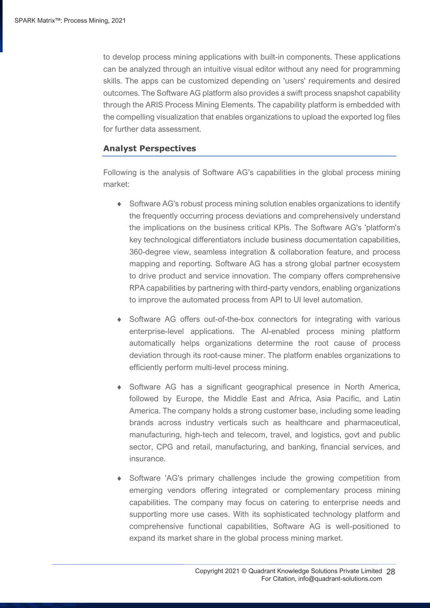to develop process mining applications with built-in components. These applications can be analyzed through an intuitive visual editor without any need for programming skills. The apps can be customized depending on 'users' requirements and desired outcomes. The Software AG platform also provides a swift process snapshot capability through the ARIS Process Mining Elements. The capability platform is embedded with the compelling visualization that enables organizations to upload the exported log files for further data assessment.

#### **Analyst Perspectives**

Following is the analysis of Software AG's capabilities in the global process mining market:

- Software AG's robust process mining solution enables organizations to identify the frequently occurring process deviations and comprehensively understand the implications on the business critical KPIs. The Software AG's 'platform's key technological differentiators include business documentation capabilities, 360-degree view, seamless integration & collaboration feature, and process mapping and reporting. Software AG has a strong global partner ecosystem to drive product and service innovation. The company offers comprehensive RPA capabilities by partnering with third-party vendors, enabling organizations to improve the automated process from API to UI level automation.
- Software AG offers out-of-the-box connectors for integrating with various enterprise-level applications. The AI-enabled process mining platform automatically helps organizations determine the root cause of process deviation through its root-cause miner. The platform enables organizations to efficiently perform multi-level process mining.
- Software AG has a significant geographical presence in North America, followed by Europe, the Middle East and Africa, Asia Pacific, and Latin America. The company holds a strong customer base, including some leading brands across industry verticals such as healthcare and pharmaceutical, manufacturing, high-tech and telecom, travel, and logistics, govt and public sector, CPG and retail, manufacturing, and banking, financial services, and insurance.
- Software 'AG's primary challenges include the growing competition from emerging vendors offering integrated or complementary process mining capabilities. The company may focus on catering to enterprise needs and supporting more use cases. With its sophisticated technology platform and comprehensive functional capabilities, Software AG is well-positioned to expand its market share in the global process mining market.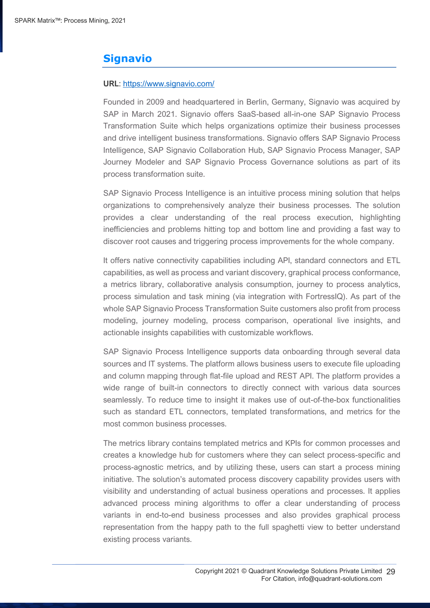## **Signavio**

#### **URL**: https://www.signavio.com/

Founded in 2009 and headquartered in Berlin, Germany, Signavio was acquired by SAP in March 2021. Signavio offers SaaS-based all-in-one SAP Signavio Process Transformation Suite which helps organizations optimize their business processes and drive intelligent business transformations. Signavio offers SAP Signavio Process Intelligence, SAP Signavio Collaboration Hub, SAP Signavio Process Manager, SAP Journey Modeler and SAP Signavio Process Governance solutions as part of its process transformation suite.

SAP Signavio Process Intelligence is an intuitive process mining solution that helps organizations to comprehensively analyze their business processes. The solution provides a clear understanding of the real process execution, highlighting inefficiencies and problems hitting top and bottom line and providing a fast way to discover root causes and triggering process improvements for the whole company.

It offers native connectivity capabilities including API, standard connectors and ETL capabilities, as well as process and variant discovery, graphical process conformance, a metrics library, collaborative analysis consumption, journey to process analytics, process simulation and task mining (via integration with FortressIQ). As part of the whole SAP Signavio Process Transformation Suite customers also profit from process modeling, journey modeling, process comparison, operational live insights, and actionable insights capabilities with customizable workflows.

SAP Signavio Process Intelligence supports data onboarding through several data sources and IT systems. The platform allows business users to execute file uploading and column mapping through flat-file upload and REST API. The platform provides a wide range of built-in connectors to directly connect with various data sources seamlessly. To reduce time to insight it makes use of out-of-the-box functionalities such as standard ETL connectors, templated transformations, and metrics for the most common business processes.

The metrics library contains templated metrics and KPIs for common processes and creates a knowledge hub for customers where they can select process-specific and process-agnostic metrics, and by utilizing these, users can start a process mining initiative. The solution's automated process discovery capability provides users with visibility and understanding of actual business operations and processes. It applies advanced process mining algorithms to offer a clear understanding of process variants in end-to-end business processes and also provides graphical process representation from the happy path to the full spaghetti view to better understand existing process variants.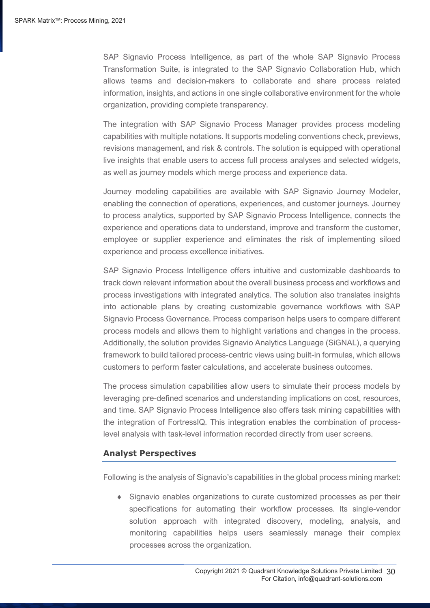SAP Signavio Process Intelligence, as part of the whole SAP Signavio Process Transformation Suite, is integrated to the SAP Signavio Collaboration Hub, which allows teams and decision-makers to collaborate and share process related information, insights, and actions in one single collaborative environment for the whole organization, providing complete transparency.

The integration with SAP Signavio Process Manager provides process modeling capabilities with multiple notations. It supports modeling conventions check, previews, revisions management, and risk & controls. The solution is equipped with operational live insights that enable users to access full process analyses and selected widgets, as well as journey models which merge process and experience data.

Journey modeling capabilities are available with SAP Signavio Journey Modeler, enabling the connection of operations, experiences, and customer journeys. Journey to process analytics, supported by SAP Signavio Process Intelligence, connects the experience and operations data to understand, improve and transform the customer, employee or supplier experience and eliminates the risk of implementing siloed experience and process excellence initiatives.

SAP Signavio Process Intelligence offers intuitive and customizable dashboards to track down relevant information about the overall business process and workflows and process investigations with integrated analytics. The solution also translates insights into actionable plans by creating customizable governance workflows with SAP Signavio Process Governance. Process comparison helps users to compare different process models and allows them to highlight variations and changes in the process. Additionally, the solution provides Signavio Analytics Language (SiGNAL), a querying framework to build tailored process-centric views using built-in formulas, which allows customers to perform faster calculations, and accelerate business outcomes.

The process simulation capabilities allow users to simulate their process models by leveraging pre-defined scenarios and understanding implications on cost, resources, and time. SAP Signavio Process Intelligence also offers task mining capabilities with the integration of FortressIQ. This integration enables the combination of processlevel analysis with task-level information recorded directly from user screens.

#### **Analyst Perspectives**

Following is the analysis of Signavio's capabilities in the global process mining market:

 Signavio enables organizations to curate customized processes as per their specifications for automating their workflow processes. Its single-vendor solution approach with integrated discovery, modeling, analysis, and monitoring capabilities helps users seamlessly manage their complex processes across the organization.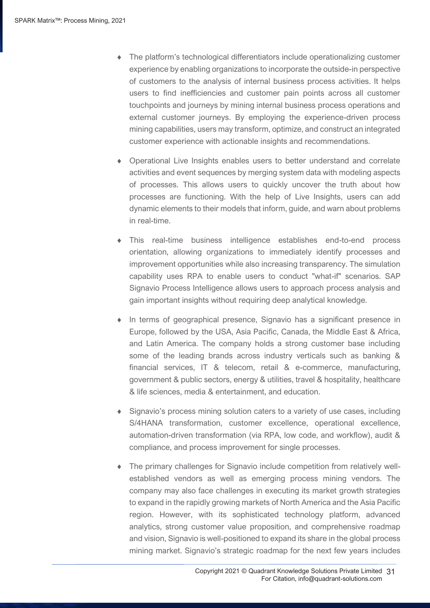- The platform's technological differentiators include operationalizing customer experience by enabling organizations to incorporate the outside-in perspective of customers to the analysis of internal business process activities. It helps users to find inefficiencies and customer pain points across all customer touchpoints and journeys by mining internal business process operations and external customer journeys. By employing the experience-driven process mining capabilities, users may transform, optimize, and construct an integrated customer experience with actionable insights and recommendations.
- Operational Live Insights enables users to better understand and correlate activities and event sequences by merging system data with modeling aspects of processes. This allows users to quickly uncover the truth about how processes are functioning. With the help of Live Insights, users can add dynamic elements to their models that inform, guide, and warn about problems in real-time.
- This real-time business intelligence establishes end-to-end process orientation, allowing organizations to immediately identify processes and improvement opportunities while also increasing transparency. The simulation capability uses RPA to enable users to conduct "what-if" scenarios. SAP Signavio Process Intelligence allows users to approach process analysis and gain important insights without requiring deep analytical knowledge.
- In terms of geographical presence, Signavio has a significant presence in Europe, followed by the USA, Asia Pacific, Canada, the Middle East & Africa, and Latin America. The company holds a strong customer base including some of the leading brands across industry verticals such as banking & financial services, IT & telecom, retail & e-commerce, manufacturing, government & public sectors, energy & utilities, travel & hospitality, healthcare & life sciences, media & entertainment, and education.
- Signavio's process mining solution caters to a variety of use cases, including S/4HANA transformation, customer excellence, operational excellence, automation-driven transformation (via RPA, low code, and workflow), audit & compliance, and process improvement for single processes.
- The primary challenges for Signavio include competition from relatively wellestablished vendors as well as emerging process mining vendors. The company may also face challenges in executing its market growth strategies to expand in the rapidly growing markets of North America and the Asia Pacific region. However, with its sophisticated technology platform, advanced analytics, strong customer value proposition, and comprehensive roadmap and vision, Signavio is well-positioned to expand its share in the global process mining market. Signavio's strategic roadmap for the next few years includes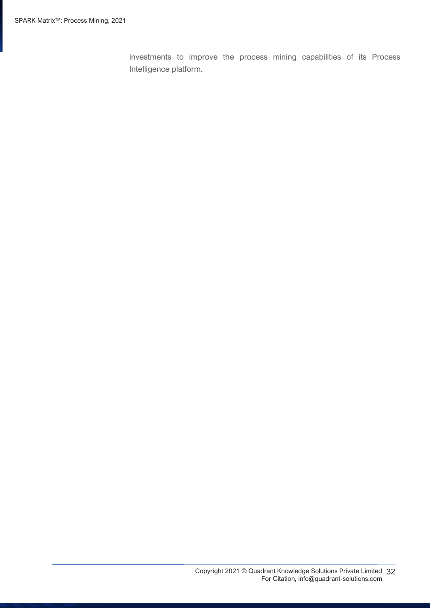investments to improve the process mining capabilities of its Process Intelligence platform.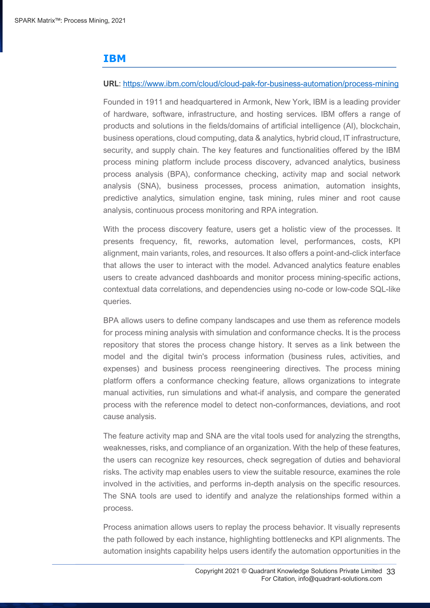## **IBM**

#### **URL**: https://www.ibm.com/cloud/cloud-pak-for-business-automation/process-mining

Founded in 1911 and headquartered in Armonk, New York, IBM is a leading provider of hardware, software, infrastructure, and hosting services. IBM offers a range of products and solutions in the fields/domains of artificial intelligence (AI), blockchain, business operations, cloud computing, data & analytics, hybrid cloud, IT infrastructure, security, and supply chain. The key features and functionalities offered by the IBM process mining platform include process discovery, advanced analytics, business process analysis (BPA), conformance checking, activity map and social network analysis (SNA), business processes, process animation, automation insights, predictive analytics, simulation engine, task mining, rules miner and root cause analysis, continuous process monitoring and RPA integration.

With the process discovery feature, users get a holistic view of the processes. It presents frequency, fit, reworks, automation level, performances, costs, KPI alignment, main variants, roles, and resources. It also offers a point-and-click interface that allows the user to interact with the model. Advanced analytics feature enables users to create advanced dashboards and monitor process mining-specific actions, contextual data correlations, and dependencies using no-code or low-code SQL-like queries.

BPA allows users to define company landscapes and use them as reference models for process mining analysis with simulation and conformance checks. It is the process repository that stores the process change history. It serves as a link between the model and the digital twin's process information (business rules, activities, and expenses) and business process reengineering directives. The process mining platform offers a conformance checking feature, allows organizations to integrate manual activities, run simulations and what-if analysis, and compare the generated process with the reference model to detect non-conformances, deviations, and root cause analysis.

The feature activity map and SNA are the vital tools used for analyzing the strengths, weaknesses, risks, and compliance of an organization. With the help of these features, the users can recognize key resources, check segregation of duties and behavioral risks. The activity map enables users to view the suitable resource, examines the role involved in the activities, and performs in-depth analysis on the specific resources. The SNA tools are used to identify and analyze the relationships formed within a process.

Process animation allows users to replay the process behavior. It visually represents the path followed by each instance, highlighting bottlenecks and KPI alignments. The automation insights capability helps users identify the automation opportunities in the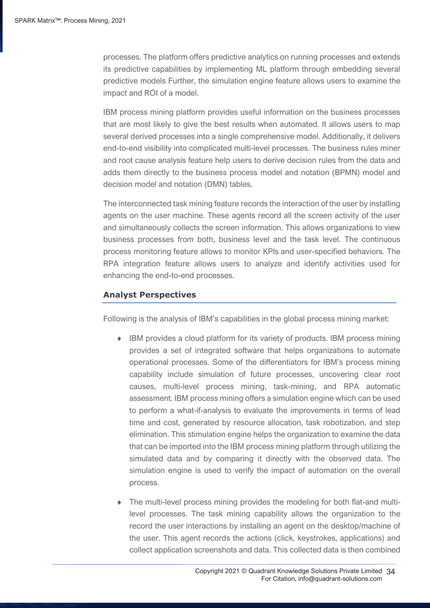processes. The platform offers predictive analytics on running processes and extends its predictive capabilities by implementing ML platform through embedding several predictive models Further, the simulation engine feature allows users to examine the impact and ROI of a model.

IBM process mining platform provides useful information on the business processes that are most likely to give the best results when automated. It allows users to map several derived processes into a single comprehensive model. Additionally, it delivers end-to-end visibility into complicated multi-level processes. The business rules miner and root cause analysis feature help users to derive decision rules from the data and adds them directly to the business process model and notation (BPMN) model and decision model and notation (DMN) tables.

The interconnected task mining feature records the interaction of the user by installing agents on the user machine. These agents record all the screen activity of the user and simultaneously collects the screen information. This allows organizations to view business processes from both, business level and the task level. The continuous process monitoring feature allows to monitor KPIs and user-specified behaviors. The RPA integration feature allows users to analyze and identify activities used for enhancing the end-to-end processes.

#### **Analyst Perspectives**

Following is the analysis of IBM's capabilities in the global process mining market:

- IBM provides a cloud platform for its variety of products. IBM process mining provides a set of integrated software that helps organizations to automate operational processes. Some of the differentiators for IBM's process mining capability include simulation of future processes, uncovering clear root causes, multi-level process mining, task-mining, and RPA automatic assessment. IBM process mining offers a simulation engine which can be used to perform a what-if-analysis to evaluate the improvements in terms of lead time and cost, generated by resource allocation, task robotization, and step elimination. This stimulation engine helps the organization to examine the data that can be imported into the IBM process mining platform through utilizing the simulated data and by comparing it directly with the observed data. The simulation engine is used to verify the impact of automation on the overall process.
- The multi-level process mining provides the modeling for both flat-and multilevel processes. The task mining capability allows the organization to the record the user interactions by installing an agent on the desktop/machine of the user. This agent records the actions (click, keystrokes, applications) and collect application screenshots and data. This collected data is then combined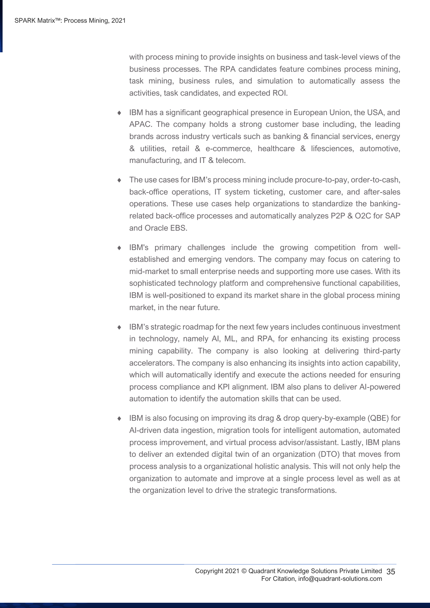with process mining to provide insights on business and task-level views of the business processes. The RPA candidates feature combines process mining, task mining, business rules, and simulation to automatically assess the activities, task candidates, and expected ROI.

- IBM has a significant geographical presence in European Union, the USA, and APAC. The company holds a strong customer base including, the leading brands across industry verticals such as banking & financial services, energy & utilities, retail & e-commerce, healthcare & lifesciences, automotive, manufacturing, and IT & telecom.
- The use cases for IBM's process mining include procure-to-pay, order-to-cash, back-office operations, IT system ticketing, customer care, and after-sales operations. These use cases help organizations to standardize the bankingrelated back-office processes and automatically analyzes P2P & O2C for SAP and Oracle EBS.
- IBM's primary challenges include the growing competition from wellestablished and emerging vendors. The company may focus on catering to mid-market to small enterprise needs and supporting more use cases. With its sophisticated technology platform and comprehensive functional capabilities, IBM is well-positioned to expand its market share in the global process mining market, in the near future.
- IBM's strategic roadmap for the next few years includes continuous investment in technology, namely AI, ML, and RPA, for enhancing its existing process mining capability. The company is also looking at delivering third-party accelerators. The company is also enhancing its insights into action capability, which will automatically identify and execute the actions needed for ensuring process compliance and KPI alignment. IBM also plans to deliver AI-powered automation to identify the automation skills that can be used.
- IBM is also focusing on improving its drag & drop query-by-example (QBE) for AI-driven data ingestion, migration tools for intelligent automation, automated process improvement, and virtual process advisor/assistant. Lastly, IBM plans to deliver an extended digital twin of an organization (DTO) that moves from process analysis to a organizational holistic analysis. This will not only help the organization to automate and improve at a single process level as well as at the organization level to drive the strategic transformations.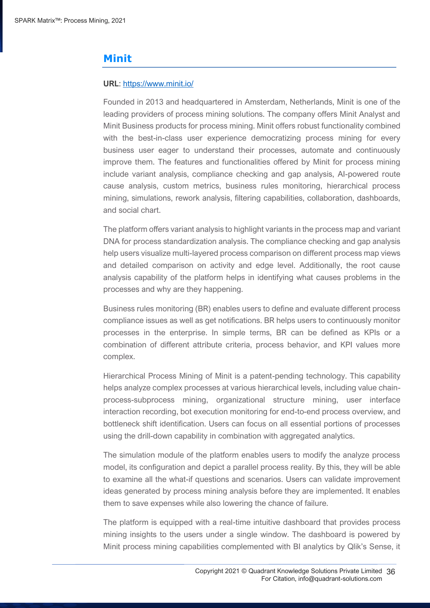## **Minit**

#### **URL**: https://www.minit.io/

Founded in 2013 and headquartered in Amsterdam, Netherlands, Minit is one of the leading providers of process mining solutions. The company offers Minit Analyst and Minit Business products for process mining. Minit offers robust functionality combined with the best-in-class user experience democratizing process mining for every business user eager to understand their processes, automate and continuously improve them. The features and functionalities offered by Minit for process mining include variant analysis, compliance checking and gap analysis, AI-powered route cause analysis, custom metrics, business rules monitoring, hierarchical process mining, simulations, rework analysis, filtering capabilities, collaboration, dashboards, and social chart.

The platform offers variant analysis to highlight variants in the process map and variant DNA for process standardization analysis. The compliance checking and gap analysis help users visualize multi-layered process comparison on different process map views and detailed comparison on activity and edge level. Additionally, the root cause analysis capability of the platform helps in identifying what causes problems in the processes and why are they happening.

Business rules monitoring (BR) enables users to define and evaluate different process compliance issues as well as get notifications. BR helps users to continuously monitor processes in the enterprise. In simple terms, BR can be defined as KPIs or a combination of different attribute criteria, process behavior, and KPI values more complex.

Hierarchical Process Mining of Minit is a patent-pending technology. This capability helps analyze complex processes at various hierarchical levels, including value chainprocess-subprocess mining, organizational structure mining, user interface interaction recording, bot execution monitoring for end-to-end process overview, and bottleneck shift identification. Users can focus on all essential portions of processes using the drill-down capability in combination with aggregated analytics.

The simulation module of the platform enables users to modify the analyze process model, its configuration and depict a parallel process reality. By this, they will be able to examine all the what-if questions and scenarios. Users can validate improvement ideas generated by process mining analysis before they are implemented. It enables them to save expenses while also lowering the chance of failure.

The platform is equipped with a real-time intuitive dashboard that provides process mining insights to the users under a single window. The dashboard is powered by Minit process mining capabilities complemented with BI analytics by Qlik's Sense, it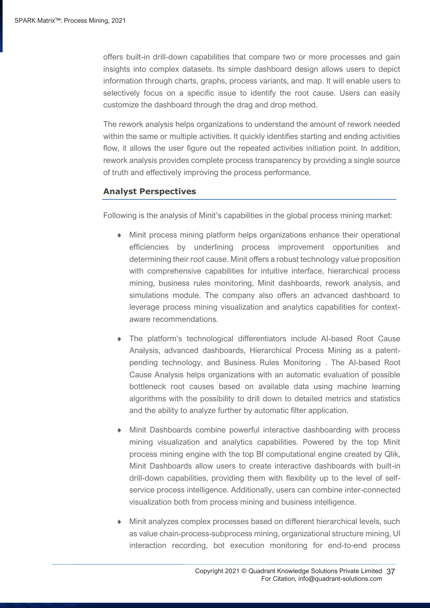offers built-in drill-down capabilities that compare two or more processes and gain insights into complex datasets. Its simple dashboard design allows users to depict information through charts, graphs, process variants, and map. It will enable users to selectively focus on a specific issue to identify the root cause. Users can easily customize the dashboard through the drag and drop method.

The rework analysis helps organizations to understand the amount of rework needed within the same or multiple activities. It quickly identifies starting and ending activities flow, it allows the user figure out the repeated activities initiation point. In addition, rework analysis provides complete process transparency by providing a single source of truth and effectively improving the process performance.

#### **Analyst Perspectives**

Following is the analysis of Minit's capabilities in the global process mining market:

- Minit process mining platform helps organizations enhance their operational efficiencies by underlining process improvement opportunities and determining their root cause. Minit offers a robust technology value proposition with comprehensive capabilities for intuitive interface, hierarchical process mining, business rules monitoring, Minit dashboards, rework analysis, and simulations module. The company also offers an advanced dashboard to leverage process mining visualization and analytics capabilities for contextaware recommendations.
- The platform's technological differentiators include AI-based Root Cause Analysis, advanced dashboards, Hierarchical Process Mining as a patentpending technology, and Business Rules Monitoring . The AI-based Root Cause Analysis helps organizations with an automatic evaluation of possible bottleneck root causes based on available data using machine learning algorithms with the possibility to drill down to detailed metrics and statistics and the ability to analyze further by automatic filter application.
- Minit Dashboards combine powerful interactive dashboarding with process mining visualization and analytics capabilities. Powered by the top Minit process mining engine with the top BI computational engine created by Qlik, Minit Dashboards allow users to create interactive dashboards with built-in drill-down capabilities, providing them with flexibility up to the level of selfservice process intelligence. Additionally, users can combine inter-connected visualization both from process mining and business intelligence.
- Minit analyzes complex processes based on different hierarchical levels, such as value chain-process-subprocess mining, organizational structure mining, UI interaction recording, bot execution monitoring for end-to-end process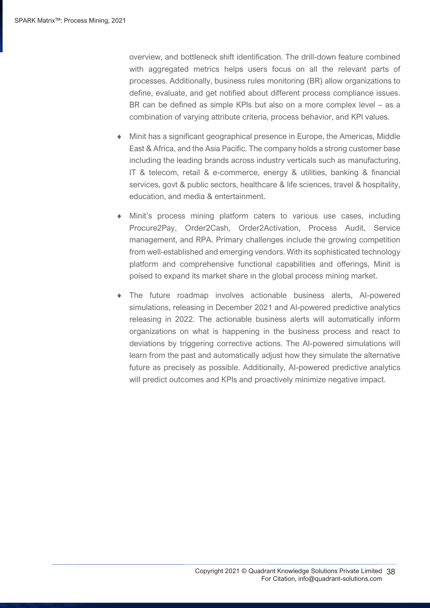overview, and bottleneck shift identification. The drill-down feature combined with aggregated metrics helps users focus on all the relevant parts of processes. Additionally, business rules monitoring (BR) allow organizations to define, evaluate, and get notified about different process compliance issues. BR can be defined as simple KPIs but also on a more complex level – as a combination of varying attribute criteria, process behavior, and KPI values.

- Minit has a significant geographical presence in Europe, the Americas, Middle East & Africa, and the Asia Pacific. The company holds a strong customer base including the leading brands across industry verticals such as manufacturing, IT & telecom, retail & e-commerce, energy & utilities, banking & financial services, govt & public sectors, healthcare & life sciences, travel & hospitality, education, and media & entertainment.
- Minit's process mining platform caters to various use cases, including Procure2Pay, Order2Cash, Order2Activation, Process Audit, Service management, and RPA. Primary challenges include the growing competition from well-established and emerging vendors. With its sophisticated technology platform and comprehensive functional capabilities and offerings, Minit is poised to expand its market share in the global process mining market.
- The future roadmap involves actionable business alerts, AI-powered simulations, releasing in December 2021 and AI-powered predictive analytics releasing in 2022. The actionable business alerts will automatically inform organizations on what is happening in the business process and react to deviations by triggering corrective actions. The AI-powered simulations will learn from the past and automatically adjust how they simulate the alternative future as precisely as possible. Additionally, AI-powered predictive analytics will predict outcomes and KPIs and proactively minimize negative impact.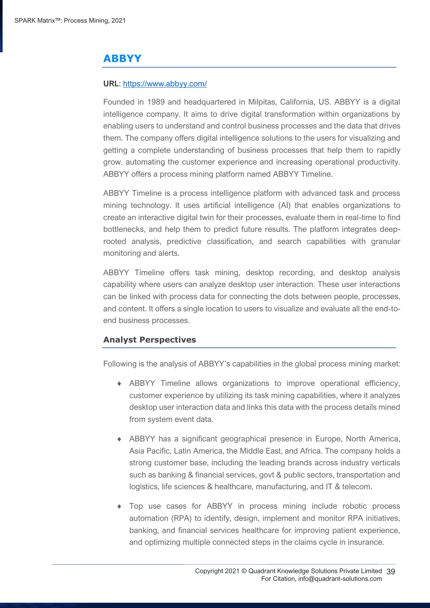## **ABBYY**

#### **URL**: https://www.abbyy.com/

Founded in 1989 and headquartered in Milpitas, California, US. ABBYY is a digital intelligence company. It aims to drive digital transformation within organizations by enabling users to understand and control business processes and the data that drives them. The company offers digital intelligence solutions to the users for visualizing and getting a complete understanding of business processes that help them to rapidly grow. automating the customer experience and increasing operational productivity. ABBYY offers a process mining platform named ABBYY Timeline.

ABBYY Timeline is a process intelligence platform with advanced task and process mining technology. It uses artificial intelligence (AI) that enables organizations to create an interactive digital twin for their processes, evaluate them in real-time to find bottlenecks, and help them to predict future results. The platform integrates deeprooted analysis, predictive classification, and search capabilities with granular monitoring and alerts.

ABBYY Timeline offers task mining, desktop recording, and desktop analysis capability where users can analyze desktop user interaction. These user interactions can be linked with process data for connecting the dots between people, processes, and content. It offers a single location to users to visualize and evaluate all the end-toend business processes.

#### **Analyst Perspectives**

Following is the analysis of ABBYY's capabilities in the global process mining market:

- ABBYY Timeline allows organizations to improve operational efficiency, customer experience by utilizing its task mining capabilities, where it analyzes desktop user interaction data and links this data with the process details mined from system event data.
- ABBYY has a significant geographical presence in Europe, North America, Asia Pacific, Latin America, the Middle East, and Africa. The company holds a strong customer base, including the leading brands across industry verticals such as banking & financial services, govt & public sectors, transportation and logistics, life sciences & healthcare, manufacturing, and IT & telecom.
- Top use cases for ABBYY in process mining include robotic process automation (RPA) to identify, design, implement and monitor RPA initiatives, banking, and financial services healthcare for improving patient experience, and optimizing multiple connected steps in the claims cycle in insurance.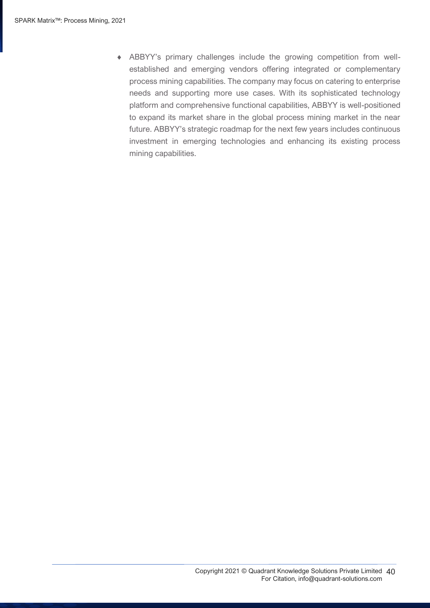ABBYY's primary challenges include the growing competition from wellestablished and emerging vendors offering integrated or complementary process mining capabilities. The company may focus on catering to enterprise needs and supporting more use cases. With its sophisticated technology platform and comprehensive functional capabilities, ABBYY is well-positioned to expand its market share in the global process mining market in the near future. ABBYY's strategic roadmap for the next few years includes continuous investment in emerging technologies and enhancing its existing process mining capabilities.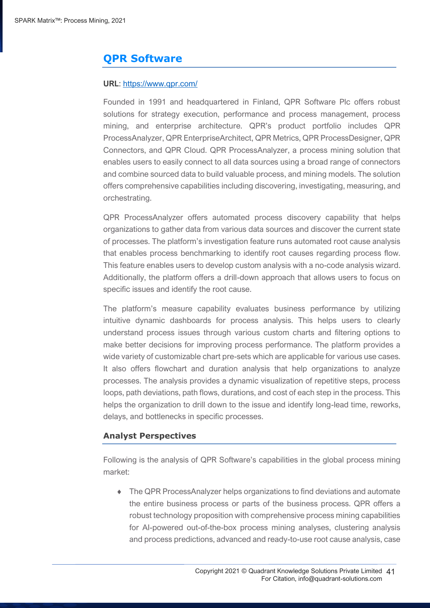## **QPR Software**

#### **URL**: https://www.qpr.com/

Founded in 1991 and headquartered in Finland, QPR Software Plc offers robust solutions for strategy execution, performance and process management, process mining, and enterprise architecture. QPR's product portfolio includes QPR ProcessAnalyzer, QPR EnterpriseArchitect, QPR Metrics, QPR ProcessDesigner, QPR Connectors, and QPR Cloud. QPR ProcessAnalyzer, a process mining solution that enables users to easily connect to all data sources using a broad range of connectors and combine sourced data to build valuable process, and mining models. The solution offers comprehensive capabilities including discovering, investigating, measuring, and orchestrating.

QPR ProcessAnalyzer offers automated process discovery capability that helps organizations to gather data from various data sources and discover the current state of processes. The platform's investigation feature runs automated root cause analysis that enables process benchmarking to identify root causes regarding process flow. This feature enables users to develop custom analysis with a no-code analysis wizard. Additionally, the platform offers a drill-down approach that allows users to focus on specific issues and identify the root cause.

The platform's measure capability evaluates business performance by utilizing intuitive dynamic dashboards for process analysis. This helps users to clearly understand process issues through various custom charts and filtering options to make better decisions for improving process performance. The platform provides a wide variety of customizable chart pre-sets which are applicable for various use cases. It also offers flowchart and duration analysis that help organizations to analyze processes. The analysis provides a dynamic visualization of repetitive steps, process loops, path deviations, path flows, durations, and cost of each step in the process. This helps the organization to drill down to the issue and identify long-lead time, reworks, delays, and bottlenecks in specific processes.

## **Analyst Perspectives**

Following is the analysis of QPR Software's capabilities in the global process mining market:

 The QPR ProcessAnalyzer helps organizations to find deviations and automate the entire business process or parts of the business process. QPR offers a robust technology proposition with comprehensive process mining capabilities for AI-powered out-of-the-box process mining analyses, clustering analysis and process predictions, advanced and ready-to-use root cause analysis, case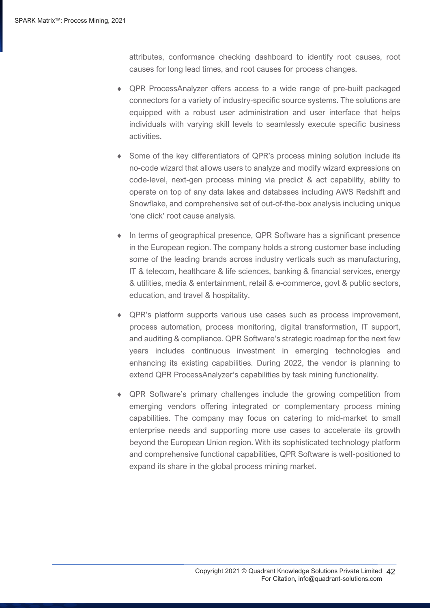attributes, conformance checking dashboard to identify root causes, root causes for long lead times, and root causes for process changes.

- QPR ProcessAnalyzer offers access to a wide range of pre-built packaged connectors for a variety of industry-specific source systems. The solutions are equipped with a robust user administration and user interface that helps individuals with varying skill levels to seamlessly execute specific business activities.
- Some of the key differentiators of QPR's process mining solution include its no-code wizard that allows users to analyze and modify wizard expressions on code-level, next-gen process mining via predict & act capability, ability to operate on top of any data lakes and databases including AWS Redshift and Snowflake, and comprehensive set of out-of-the-box analysis including unique 'one click' root cause analysis.
- In terms of geographical presence, QPR Software has a significant presence in the European region. The company holds a strong customer base including some of the leading brands across industry verticals such as manufacturing, IT & telecom, healthcare & life sciences, banking & financial services, energy & utilities, media & entertainment, retail & e-commerce, govt & public sectors, education, and travel & hospitality.
- QPR's platform supports various use cases such as process improvement, process automation, process monitoring, digital transformation, IT support, and auditing & compliance. QPR Software's strategic roadmap for the next few years includes continuous investment in emerging technologies and enhancing its existing capabilities. During 2022, the vendor is planning to extend QPR ProcessAnalyzer's capabilities by task mining functionality.
- QPR Software's primary challenges include the growing competition from emerging vendors offering integrated or complementary process mining capabilities. The company may focus on catering to mid-market to small enterprise needs and supporting more use cases to accelerate its growth beyond the European Union region. With its sophisticated technology platform and comprehensive functional capabilities, QPR Software is well-positioned to expand its share in the global process mining market.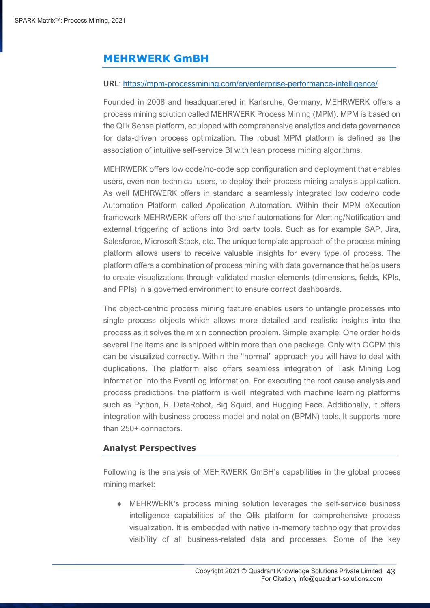## **MEHRWERK GmBH**

#### **URL**: https://mpm-processmining.com/en/enterprise-performance-intelligence/

Founded in 2008 and headquartered in Karlsruhe, Germany, MEHRWERK offers a process mining solution called MEHRWERK Process Mining (MPM). MPM is based on the Qlik Sense platform, equipped with comprehensive analytics and data governance for data-driven process optimization. The robust MPM platform is defined as the association of intuitive self-service BI with lean process mining algorithms.

MEHRWERK offers low code/no-code app configuration and deployment that enables users, even non-technical users, to deploy their process mining analysis application. As well MEHRWERK offers in standard a seamlessly integrated low code/no code Automation Platform called Application Automation. Within their MPM eXecution framework MEHRWERK offers off the shelf automations for Alerting/Notification and external triggering of actions into 3rd party tools. Such as for example SAP, Jira, Salesforce, Microsoft Stack, etc. The unique template approach of the process mining platform allows users to receive valuable insights for every type of process. The platform offers a combination of process mining with data governance that helps users to create visualizations through validated master elements (dimensions, fields, KPIs, and PPIs) in a governed environment to ensure correct dashboards.

The object-centric process mining feature enables users to untangle processes into single process objects which allows more detailed and realistic insights into the process as it solves the m x n connection problem. Simple example: One order holds several line items and is shipped within more than one package. Only with OCPM this can be visualized correctly. Within the "normal" approach you will have to deal with duplications. The platform also offers seamless integration of Task Mining Log information into the EventLog information. For executing the root cause analysis and process predictions, the platform is well integrated with machine learning platforms such as Python, R, DataRobot, Big Squid, and Hugging Face. Additionally, it offers integration with business process model and notation (BPMN) tools. It supports more than 250+ connectors.

#### **Analyst Perspectives**

Following is the analysis of MEHRWERK GmBH's capabilities in the global process mining market:

 MEHRWERK's process mining solution leverages the self-service business intelligence capabilities of the Qlik platform for comprehensive process visualization. It is embedded with native in-memory technology that provides visibility of all business-related data and processes. Some of the key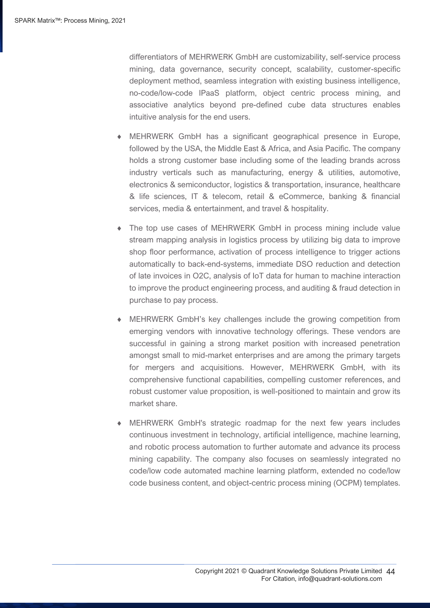differentiators of MEHRWERK GmbH are customizability, self-service process mining, data governance, security concept, scalability, customer-specific deployment method, seamless integration with existing business intelligence, no-code/low-code IPaaS platform, object centric process mining, and associative analytics beyond pre-defined cube data structures enables intuitive analysis for the end users.

- MEHRWERK GmbH has a significant geographical presence in Europe, followed by the USA, the Middle East & Africa, and Asia Pacific. The company holds a strong customer base including some of the leading brands across industry verticals such as manufacturing, energy & utilities, automotive, electronics & semiconductor, logistics & transportation, insurance, healthcare & life sciences, IT & telecom, retail & eCommerce, banking & financial services, media & entertainment, and travel & hospitality.
- The top use cases of MEHRWERK GmbH in process mining include value stream mapping analysis in logistics process by utilizing big data to improve shop floor performance, activation of process intelligence to trigger actions automatically to back-end-systems, immediate DSO reduction and detection of late invoices in O2C, analysis of IoT data for human to machine interaction to improve the product engineering process, and auditing & fraud detection in purchase to pay process.
- MEHRWERK GmbH's key challenges include the growing competition from emerging vendors with innovative technology offerings. These vendors are successful in gaining a strong market position with increased penetration amongst small to mid-market enterprises and are among the primary targets for mergers and acquisitions. However, MEHRWERK GmbH, with its comprehensive functional capabilities, compelling customer references, and robust customer value proposition, is well-positioned to maintain and grow its market share.
- MEHRWERK GmbH's strategic roadmap for the next few years includes continuous investment in technology, artificial intelligence, machine learning, and robotic process automation to further automate and advance its process mining capability. The company also focuses on seamlessly integrated no code/low code automated machine learning platform, extended no code/low code business content, and object-centric process mining (OCPM) templates.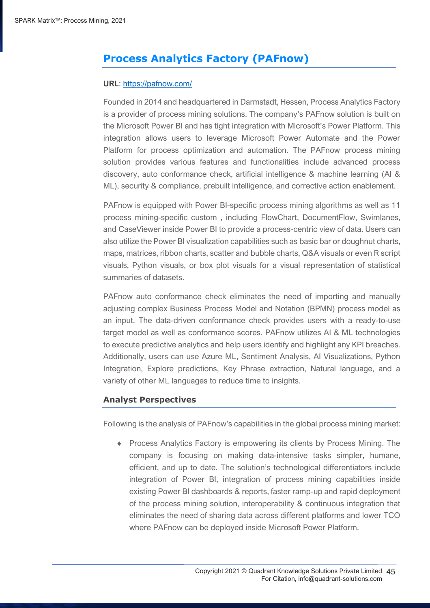## **Process Analytics Factory (PAFnow)**

#### **URL**: https://pafnow.com/

Founded in 2014 and headquartered in Darmstadt, Hessen, Process Analytics Factory is a provider of process mining solutions. The company's PAFnow solution is built on the Microsoft Power BI and has tight integration with Microsoft's Power Platform. This integration allows users to leverage Microsoft Power Automate and the Power Platform for process optimization and automation. The PAFnow process mining solution provides various features and functionalities include advanced process discovery, auto conformance check, artificial intelligence & machine learning (AI & ML), security & compliance, prebuilt intelligence, and corrective action enablement.

PAFnow is equipped with Power BI-specific process mining algorithms as well as 11 process mining-specific custom , including FlowChart, DocumentFlow, Swimlanes, and CaseViewer inside Power BI to provide a process-centric view of data. Users can also utilize the Power BI visualization capabilities such as basic bar or doughnut charts, maps, matrices, ribbon charts, scatter and bubble charts, Q&A visuals or even R script visuals, Python visuals, or box plot visuals for a visual representation of statistical summaries of datasets.

PAFnow auto conformance check eliminates the need of importing and manually adjusting complex Business Process Model and Notation (BPMN) process model as an input. The data-driven conformance check provides users with a ready-to-use target model as well as conformance scores. PAFnow utilizes AI & ML technologies to execute predictive analytics and help users identify and highlight any KPI breaches. Additionally, users can use Azure ML, Sentiment Analysis, AI Visualizations, Python Integration, Explore predictions, Key Phrase extraction, Natural language, and a variety of other ML languages to reduce time to insights.

## **Analyst Perspectives**

Following is the analysis of PAFnow's capabilities in the global process mining market:

 Process Analytics Factory is empowering its clients by Process Mining. The company is focusing on making data-intensive tasks simpler, humane, efficient, and up to date. The solution's technological differentiators include integration of Power BI, integration of process mining capabilities inside existing Power BI dashboards & reports, faster ramp-up and rapid deployment of the process mining solution, interoperability & continuous integration that eliminates the need of sharing data across different platforms and lower TCO where PAFnow can be deployed inside Microsoft Power Platform.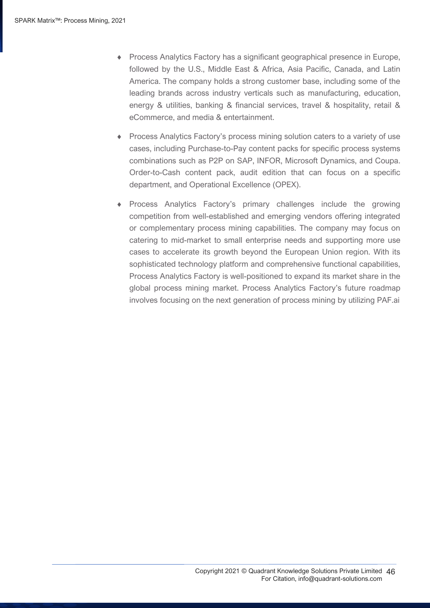- Process Analytics Factory has a significant geographical presence in Europe, followed by the U.S., Middle East & Africa, Asia Pacific, Canada, and Latin America. The company holds a strong customer base, including some of the leading brands across industry verticals such as manufacturing, education, energy & utilities, banking & financial services, travel & hospitality, retail & eCommerce, and media & entertainment.
- Process Analytics Factory's process mining solution caters to a variety of use cases, including Purchase-to-Pay content packs for specific process systems combinations such as P2P on SAP, INFOR, Microsoft Dynamics, and Coupa. Order-to-Cash content pack, audit edition that can focus on a specific department, and Operational Excellence (OPEX).
- Process Analytics Factory's primary challenges include the growing competition from well-established and emerging vendors offering integrated or complementary process mining capabilities. The company may focus on catering to mid-market to small enterprise needs and supporting more use cases to accelerate its growth beyond the European Union region. With its sophisticated technology platform and comprehensive functional capabilities, Process Analytics Factory is well-positioned to expand its market share in the global process mining market. Process Analytics Factory's future roadmap involves focusing on the next generation of process mining by utilizing PAF.ai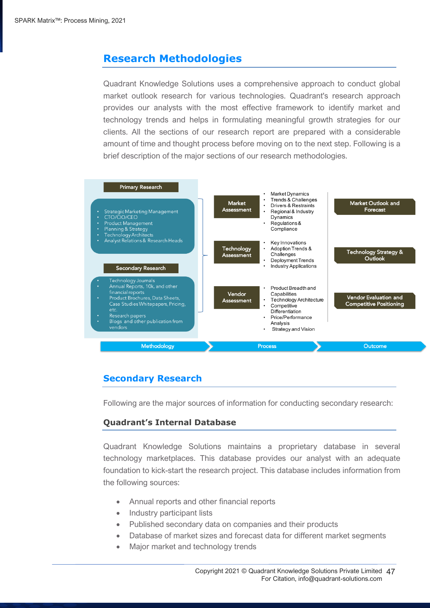## <span id="page-46-0"></span>**Research Methodologies**

Quadrant Knowledge Solutions uses a comprehensive approach to conduct global market outlook research for various technologies. Quadrant's research approach provides our analysts with the most effective framework to identify market and technology trends and helps in formulating meaningful growth strategies for our clients. All the sections of our research report are prepared with a considerable amount of time and thought process before moving on to the next step. Following is a brief description of the major sections of our research methodologies.



## **Secondary Research**

Following are the major sources of information for conducting secondary research:

## **Quadrant's Internal Database**

Quadrant Knowledge Solutions maintains a proprietary database in several technology marketplaces. This database provides our analyst with an adequate foundation to kick-start the research project. This database includes information from the following sources:

- Annual reports and other financial reports
- Industry participant lists
- Published secondary data on companies and their products
- Database of market sizes and forecast data for different market segments
- Major market and technology trends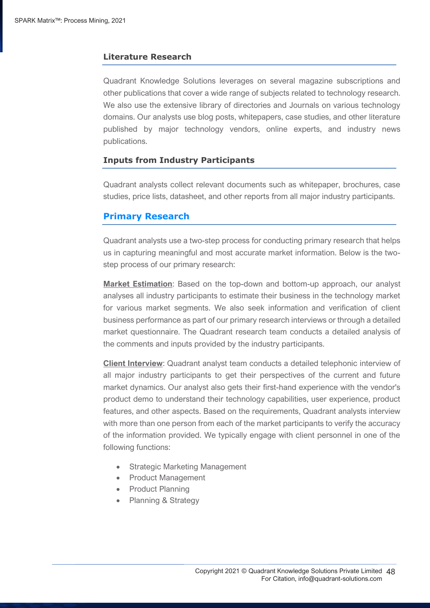## **Literature Research**

Quadrant Knowledge Solutions leverages on several magazine subscriptions and other publications that cover a wide range of subjects related to technology research. We also use the extensive library of directories and Journals on various technology domains. Our analysts use blog posts, whitepapers, case studies, and other literature published by major technology vendors, online experts, and industry news publications.

#### **Inputs from Industry Participants**

Quadrant analysts collect relevant documents such as whitepaper, brochures, case studies, price lists, datasheet, and other reports from all major industry participants.

## **Primary Research**

Quadrant analysts use a two-step process for conducting primary research that helps us in capturing meaningful and most accurate market information. Below is the twostep process of our primary research:

**Market Estimation**: Based on the top-down and bottom-up approach, our analyst analyses all industry participants to estimate their business in the technology market for various market segments. We also seek information and verification of client business performance as part of our primary research interviews or through a detailed market questionnaire. The Quadrant research team conducts a detailed analysis of the comments and inputs provided by the industry participants.

**Client Interview**: Quadrant analyst team conducts a detailed telephonic interview of all major industry participants to get their perspectives of the current and future market dynamics. Our analyst also gets their first-hand experience with the vendor's product demo to understand their technology capabilities, user experience, product features, and other aspects. Based on the requirements, Quadrant analysts interview with more than one person from each of the market participants to verify the accuracy of the information provided. We typically engage with client personnel in one of the following functions:

- Strategic Marketing Management
- Product Management
- Product Planning
- Planning & Strategy